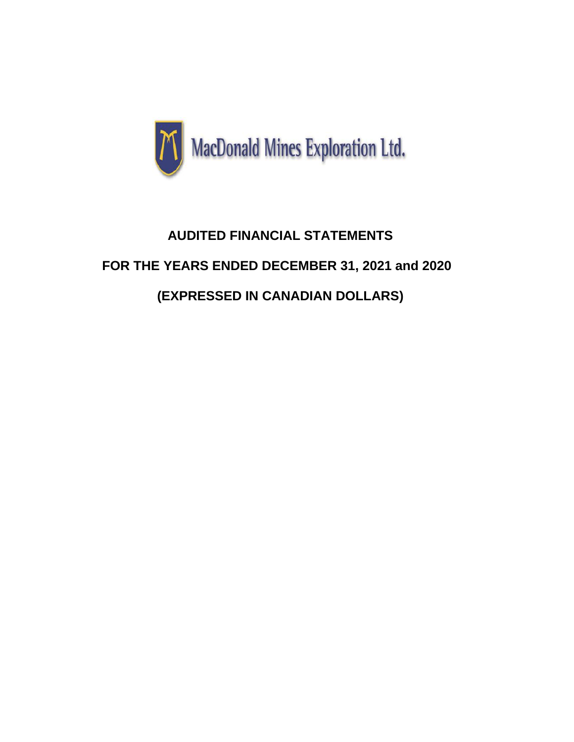

# **AUDITED FINANCIAL STATEMENTS FOR THE YEARS ENDED DECEMBER 31, 2021 and 2020 (EXPRESSED IN CANADIAN DOLLARS)**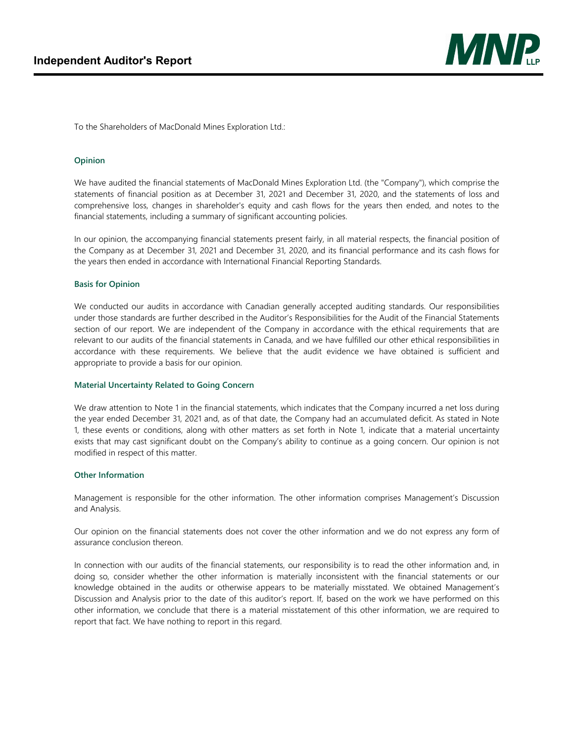

To the Shareholders of MacDonald Mines Exploration Ltd.:

#### **Opinion**

We have audited the financial statements of MacDonald Mines Exploration Ltd. (the "Company"), which comprise the statements of financial position as at December 31, 2021 and December 31, 2020, and the statements of loss and comprehensive loss, changes in shareholder's equity and cash flows for the years then ended, and notes to the financial statements, including a summary of significant accounting policies.

In our opinion, the accompanying financial statements present fairly, in all material respects, the financial position of the Company as at December 31, 2021 and December 31, 2020, and its financial performance and its cash flows for the years then ended in accordance with International Financial Reporting Standards.

#### **Basis for Opinion**

We conducted our audits in accordance with Canadian generally accepted auditing standards. Our responsibilities under those standards are further described in the Auditor's Responsibilities for the Audit of the Financial Statements section of our report. We are independent of the Company in accordance with the ethical requirements that are relevant to our audits of the financial statements in Canada, and we have fulfilled our other ethical responsibilities in accordance with these requirements. We believe that the audit evidence we have obtained is sufficient and appropriate to provide a basis for our opinion.

#### **Material Uncertainty Related to Going Concern**

We draw attention to Note 1 in the financial statements, which indicates that the Company incurred a net loss during the year ended December 31, 2021 and, as of that date, the Company had an accumulated deficit. As stated in Note 1, these events or conditions, along with other matters as set forth in Note 1, indicate that a material uncertainty exists that may cast significant doubt on the Company's ability to continue as a going concern. Our opinion is not modified in respect of this matter.

#### **Other Information**

Management is responsible for the other information. The other information comprises Management's Discussion and Analysis.

Our opinion on the financial statements does not cover the other information and we do not express any form of assurance conclusion thereon.

In connection with our audits of the financial statements, our responsibility is to read the other information and, in doing so, consider whether the other information is materially inconsistent with the financial statements or our knowledge obtained in the audits or otherwise appears to be materially misstated. We obtained Management's Discussion and Analysis prior to the date of this auditor's report. If, based on the work we have performed on this other information, we conclude that there is a material misstatement of this other information, we are required to report that fact. We have nothing to report in this regard.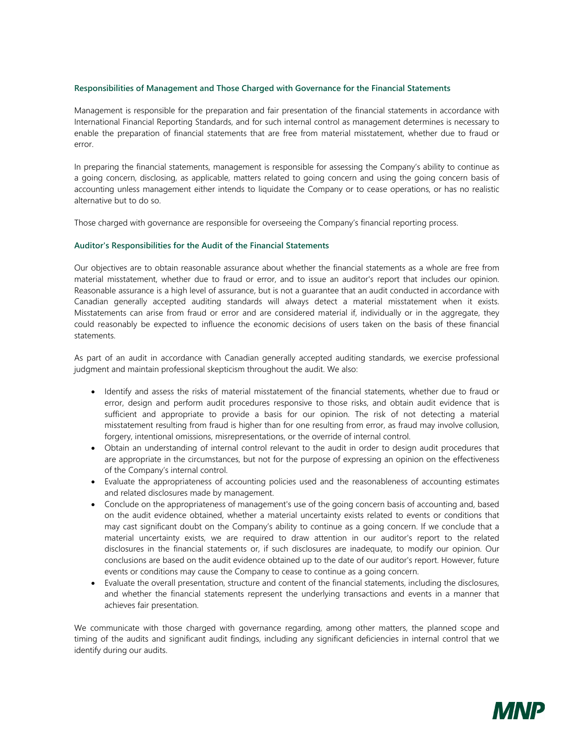#### **Responsibilities of Management and Those Charged with Governance for the Financial Statements**

Management is responsible for the preparation and fair presentation of the financial statements in accordance with International Financial Reporting Standards, and for such internal control as management determines is necessary to enable the preparation of financial statements that are free from material misstatement, whether due to fraud or error.

In preparing the financial statements, management is responsible for assessing the Company's ability to continue as a going concern, disclosing, as applicable, matters related to going concern and using the going concern basis of accounting unless management either intends to liquidate the Company or to cease operations, or has no realistic alternative but to do so.

Those charged with governance are responsible for overseeing the Company's financial reporting process.

#### **Auditor's Responsibilities for the Audit of the Financial Statements**

Our objectives are to obtain reasonable assurance about whether the financial statements as a whole are free from material misstatement, whether due to fraud or error, and to issue an auditor's report that includes our opinion. Reasonable assurance is a high level of assurance, but is not a guarantee that an audit conducted in accordance with Canadian generally accepted auditing standards will always detect a material misstatement when it exists. Misstatements can arise from fraud or error and are considered material if, individually or in the aggregate, they could reasonably be expected to influence the economic decisions of users taken on the basis of these financial statements.

As part of an audit in accordance with Canadian generally accepted auditing standards, we exercise professional judgment and maintain professional skepticism throughout the audit. We also:

- Identify and assess the risks of material misstatement of the financial statements, whether due to fraud or error, design and perform audit procedures responsive to those risks, and obtain audit evidence that is sufficient and appropriate to provide a basis for our opinion. The risk of not detecting a material misstatement resulting from fraud is higher than for one resulting from error, as fraud may involve collusion, forgery, intentional omissions, misrepresentations, or the override of internal control.
- Obtain an understanding of internal control relevant to the audit in order to design audit procedures that are appropriate in the circumstances, but not for the purpose of expressing an opinion on the effectiveness of the Company's internal control.
- Evaluate the appropriateness of accounting policies used and the reasonableness of accounting estimates and related disclosures made by management.
- Conclude on the appropriateness of management's use of the going concern basis of accounting and, based on the audit evidence obtained, whether a material uncertainty exists related to events or conditions that may cast significant doubt on the Company's ability to continue as a going concern. If we conclude that a material uncertainty exists, we are required to draw attention in our auditor's report to the related disclosures in the financial statements or, if such disclosures are inadequate, to modify our opinion. Our conclusions are based on the audit evidence obtained up to the date of our auditor's report. However, future events or conditions may cause the Company to cease to continue as a going concern.
- Evaluate the overall presentation, structure and content of the financial statements, including the disclosures, and whether the financial statements represent the underlying transactions and events in a manner that achieves fair presentation.

We communicate with those charged with governance regarding, among other matters, the planned scope and timing of the audits and significant audit findings, including any significant deficiencies in internal control that we identify during our audits.

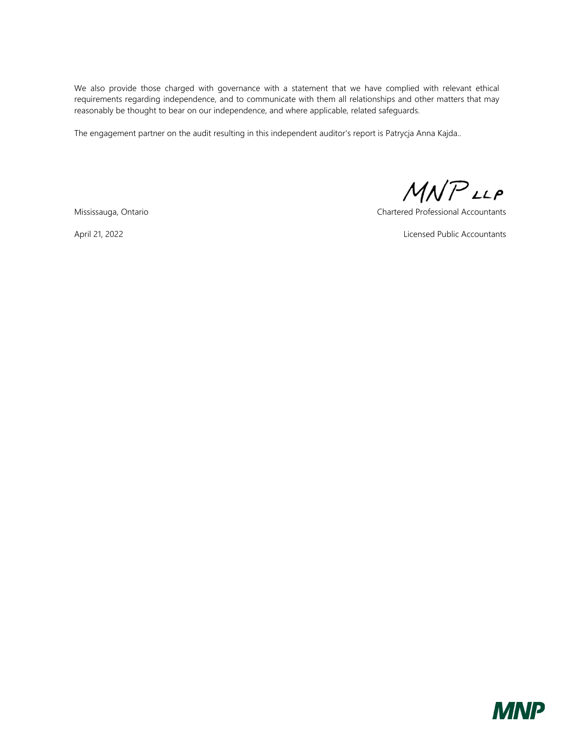We also provide those charged with governance with a statement that we have complied with relevant ethical requirements regarding independence, and to communicate with them all relationships and other matters that may reasonably be thought to bear on our independence, and where applicable, related safeguards.

The engagement partner on the audit resulting in this independent auditor's report is Patrycja Anna Kajda..

MNPLLP

Mississauga, Ontario Chartered Professional Accountants

April 21, 2022 Licensed Public Accountants

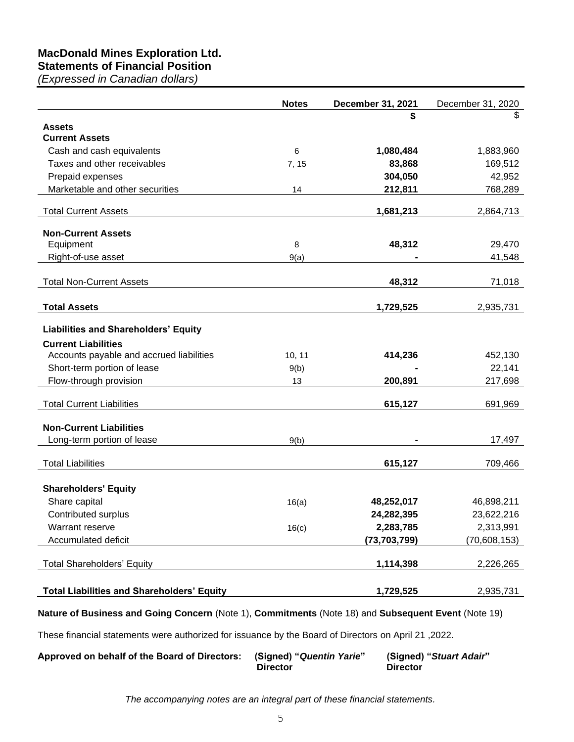# **MacDonald Mines Exploration Ltd.**

# **Statements of Financial Position**

*(Expressed in Canadian dollars)*

|                                                   | <b>Notes</b> | December 31, 2021 | December 31, 2020 |
|---------------------------------------------------|--------------|-------------------|-------------------|
|                                                   |              | \$                | \$                |
| <b>Assets</b>                                     |              |                   |                   |
| <b>Current Assets</b>                             |              |                   |                   |
| Cash and cash equivalents                         | 6            | 1,080,484         | 1,883,960         |
| Taxes and other receivables                       | 7, 15        | 83,868            | 169,512           |
| Prepaid expenses                                  |              | 304,050           | 42,952            |
| Marketable and other securities                   | 14           | 212,811           | 768,289           |
| <b>Total Current Assets</b>                       |              | 1,681,213         | 2,864,713         |
| <b>Non-Current Assets</b>                         |              |                   |                   |
| Equipment                                         | 8            | 48,312            | 29,470            |
| Right-of-use asset                                | 9(a)         |                   | 41,548            |
|                                                   |              |                   |                   |
| <b>Total Non-Current Assets</b>                   |              | 48,312            | 71,018            |
|                                                   |              |                   |                   |
| <b>Total Assets</b>                               |              | 1,729,525         | 2,935,731         |
| <b>Liabilities and Shareholders' Equity</b>       |              |                   |                   |
| <b>Current Liabilities</b>                        |              |                   |                   |
| Accounts payable and accrued liabilities          | 10, 11       | 414,236           | 452,130           |
| Short-term portion of lease                       | 9(b)         |                   | 22,141            |
| Flow-through provision                            | 13           | 200,891           | 217,698           |
| <b>Total Current Liabilities</b>                  |              | 615,127           | 691,969           |
|                                                   |              |                   |                   |
| <b>Non-Current Liabilities</b>                    |              |                   |                   |
| Long-term portion of lease                        | 9(b)         |                   | 17,497            |
| <b>Total Liabilities</b>                          |              | 615,127           | 709,466           |
|                                                   |              |                   |                   |
| <b>Shareholders' Equity</b>                       |              |                   |                   |
| Share capital                                     | 16(a)        | 48,252,017        | 46,898,211        |
| Contributed surplus                               |              | 24,282,395        | 23,622,216        |
| Warrant reserve                                   | 16(c)        | 2,283,785         | 2,313,991         |
| Accumulated deficit                               |              | (73, 703, 799)    | (70, 608, 153)    |
|                                                   |              |                   |                   |
| <b>Total Shareholders' Equity</b>                 |              | 1,114,398         | 2,226,265         |
| <b>Total Liabilities and Shareholders' Equity</b> |              | 1,729,525         | 2,935,731         |

**Nature of Business and Going Concern** (Note 1), **Commitments** (Note 18) and **Subsequent Event** (Note 19)

These financial statements were authorized for issuance by the Board of Directors on April 21 ,2022.

| Approved on behalf of the Board of Directors: | (Signed) "Quentin Yarie" | (Signed) "Stuart Adair" |
|-----------------------------------------------|--------------------------|-------------------------|
|                                               | <b>Director</b>          | <b>Director</b>         |

*The accompanying notes are an integral part of these financial statements.*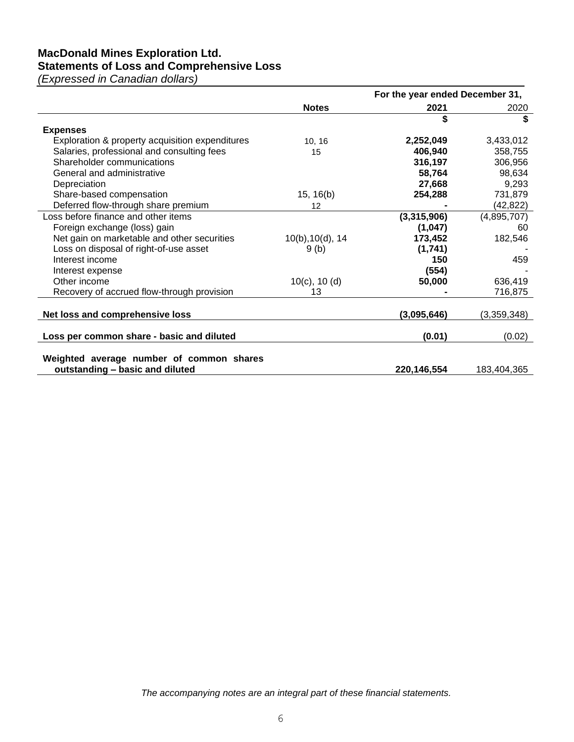# **MacDonald Mines Exploration Ltd.**

# **Statements of Loss and Comprehensive Loss**

*(Expressed in Canadian dollars)*

|                                                 |                    | For the year ended December 31, |             |
|-------------------------------------------------|--------------------|---------------------------------|-------------|
|                                                 | <b>Notes</b>       | 2021                            | 2020        |
|                                                 |                    | \$                              | \$          |
| <b>Expenses</b>                                 |                    |                                 |             |
| Exploration & property acquisition expenditures | 10, 16             | 2,252,049                       | 3,433,012   |
| Salaries, professional and consulting fees      | 15                 | 406,940                         | 358,755     |
| Shareholder communications                      |                    | 316,197                         | 306,956     |
| General and administrative                      |                    | 58,764                          | 98,634      |
| Depreciation                                    |                    | 27,668                          | 9,293       |
| Share-based compensation                        | 15, 16(b)          | 254,288                         | 731,879     |
| Deferred flow-through share premium             | 12                 |                                 | (42, 822)   |
| Loss before finance and other items             |                    | (3,315,906)                     | (4,895,707) |
| Foreign exchange (loss) gain                    |                    | (1,047)                         | 60          |
| Net gain on marketable and other securities     | 10(b), 10(d), 14   | 173,452                         | 182,546     |
| Loss on disposal of right-of-use asset          | 9(b)               | (1,741)                         |             |
| Interest income                                 |                    | 150                             | 459         |
| Interest expense                                |                    | (554)                           |             |
| Other income                                    | $10(c)$ , 10 $(d)$ | 50,000                          | 636,419     |
| Recovery of accrued flow-through provision      | 13                 |                                 | 716,875     |
|                                                 |                    |                                 |             |
| Net loss and comprehensive loss                 |                    | (3,095,646)                     | (3,359,348) |
|                                                 |                    |                                 |             |
| Loss per common share - basic and diluted       |                    | (0.01)                          | (0.02)      |
|                                                 |                    |                                 |             |
| Weighted average number of common shares        |                    |                                 |             |
| outstanding - basic and diluted                 |                    | 220,146,554                     | 183,404,365 |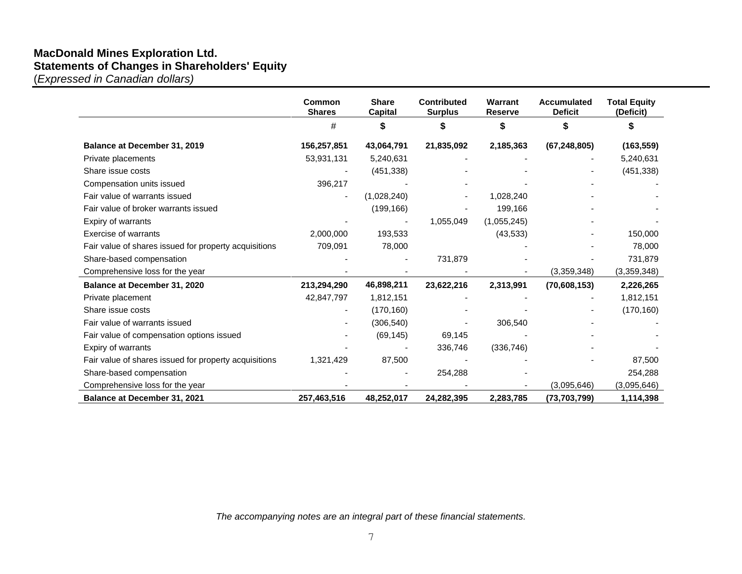# **MacDonald Mines Exploration Ltd. Statements of Changes in Shareholders' Equity**

(*Expressed in Canadian dollars)*

|                                                       | <b>Common</b><br><b>Shares</b> | <b>Share</b><br>Capital | <b>Contributed</b><br><b>Surplus</b> | Warrant<br><b>Reserve</b> | <b>Accumulated</b><br><b>Deficit</b> | <b>Total Equity</b><br>(Deficit) |
|-------------------------------------------------------|--------------------------------|-------------------------|--------------------------------------|---------------------------|--------------------------------------|----------------------------------|
|                                                       | #                              |                         |                                      |                           |                                      |                                  |
| <b>Balance at December 31, 2019</b>                   | 156,257,851                    | 43,064,791              | 21,835,092                           | 2,185,363                 | (67, 248, 805)                       | (163, 559)                       |
| Private placements                                    | 53,931,131                     | 5,240,631               |                                      |                           |                                      | 5,240,631                        |
| Share issue costs                                     |                                | (451, 338)              |                                      |                           |                                      | (451, 338)                       |
| Compensation units issued                             | 396,217                        |                         |                                      |                           |                                      |                                  |
| Fair value of warrants issued                         |                                | (1,028,240)             |                                      | 1,028,240                 |                                      |                                  |
| Fair value of broker warrants issued                  |                                | (199, 166)              |                                      | 199,166                   |                                      |                                  |
| Expiry of warrants                                    |                                |                         | 1,055,049                            | (1,055,245)               |                                      |                                  |
| <b>Exercise of warrants</b>                           | 2,000,000                      | 193,533                 |                                      | (43, 533)                 |                                      | 150,000                          |
| Fair value of shares issued for property acquisitions | 709,091                        | 78,000                  |                                      |                           |                                      | 78,000                           |
| Share-based compensation                              |                                |                         | 731,879                              |                           |                                      | 731,879                          |
| Comprehensive loss for the year                       |                                |                         |                                      |                           | (3,359,348)                          | (3,359,348)                      |
| Balance at December 31, 2020                          | 213,294,290                    | 46,898,211              | 23,622,216                           | 2,313,991                 | (70,608,153)                         | 2,226,265                        |
| Private placement                                     | 42,847,797                     | 1,812,151               |                                      |                           |                                      | 1,812,151                        |
| Share issue costs                                     |                                | (170, 160)              |                                      |                           |                                      | (170, 160)                       |
| Fair value of warrants issued                         |                                | (306, 540)              |                                      | 306,540                   |                                      |                                  |
| Fair value of compensation options issued             |                                | (69, 145)               | 69,145                               |                           |                                      |                                  |
| Expiry of warrants                                    |                                |                         | 336,746                              | (336, 746)                |                                      |                                  |
| Fair value of shares issued for property acquisitions | 1,321,429                      | 87,500                  |                                      |                           |                                      | 87,500                           |
| Share-based compensation                              |                                |                         | 254,288                              |                           |                                      | 254,288                          |
| Comprehensive loss for the year                       |                                |                         |                                      |                           | (3.095.646)                          | (3,095,646)                      |
| Balance at December 31, 2021                          | 257,463,516                    | 48,252,017              | 24,282,395                           | 2,283,785                 | (73, 703, 799)                       | 1,114,398                        |

*The accompanying notes are an integral part of these financial statements.*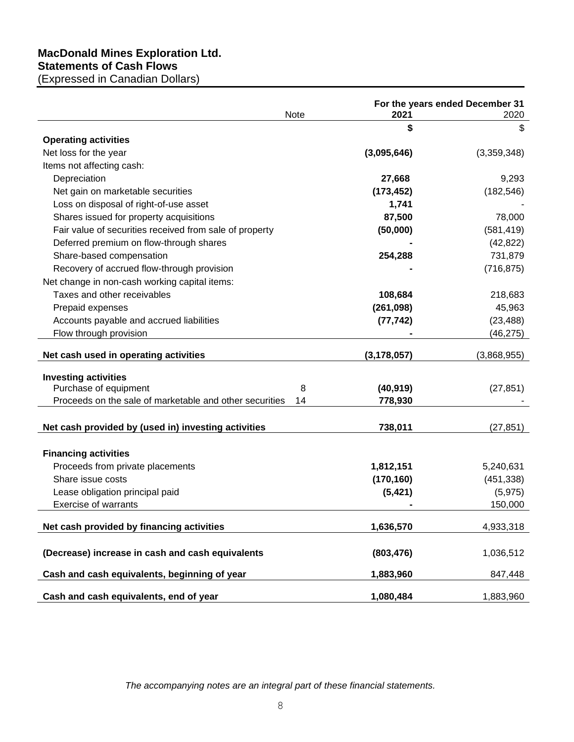# **MacDonald Mines Exploration Ltd. Statements of Cash Flows**

(Expressed in Canadian Dollars)

|                                                         | <b>Note</b> | For the years ended December 31<br>2021<br>2020 |             |
|---------------------------------------------------------|-------------|-------------------------------------------------|-------------|
|                                                         |             | \$                                              | \$          |
| <b>Operating activities</b>                             |             |                                                 |             |
| Net loss for the year                                   |             | (3,095,646)                                     | (3,359,348) |
| Items not affecting cash:                               |             |                                                 |             |
| Depreciation                                            |             | 27,668                                          | 9,293       |
| Net gain on marketable securities                       |             | (173, 452)                                      | (182, 546)  |
| Loss on disposal of right-of-use asset                  |             | 1,741                                           |             |
| Shares issued for property acquisitions                 |             | 87,500                                          | 78,000      |
| Fair value of securities received from sale of property |             | (50,000)                                        | (581, 419)  |
| Deferred premium on flow-through shares                 |             |                                                 | (42, 822)   |
| Share-based compensation                                |             | 254,288                                         | 731,879     |
| Recovery of accrued flow-through provision              |             |                                                 | (716, 875)  |
| Net change in non-cash working capital items:           |             |                                                 |             |
| Taxes and other receivables                             |             | 108,684                                         | 218,683     |
| Prepaid expenses                                        |             | (261, 098)                                      | 45,963      |
| Accounts payable and accrued liabilities                |             | (77, 742)                                       | (23, 488)   |
| Flow through provision                                  |             |                                                 | (46, 275)   |
| Net cash used in operating activities                   |             | (3, 178, 057)                                   | (3,868,955) |
|                                                         |             |                                                 |             |
| <b>Investing activities</b><br>Purchase of equipment    | 8           | (40, 919)                                       | (27, 851)   |
| Proceeds on the sale of marketable and other securities | 14          | 778,930                                         |             |
|                                                         |             |                                                 |             |
| Net cash provided by (used in) investing activities     |             | 738,011                                         | (27, 851)   |
| <b>Financing activities</b>                             |             |                                                 |             |
| Proceeds from private placements                        |             | 1,812,151                                       | 5,240,631   |
| Share issue costs                                       |             | (170, 160)                                      | (451, 338)  |
| Lease obligation principal paid                         |             | (5, 421)                                        | (5, 975)    |
| <b>Exercise of warrants</b>                             |             |                                                 | 150,000     |
|                                                         |             |                                                 |             |
| Net cash provided by financing activities               |             | 1,636,570                                       | 4,933,318   |
| (Decrease) increase in cash and cash equivalents        |             | (803, 476)                                      | 1,036,512   |
| Cash and cash equivalents, beginning of year            |             | 1,883,960                                       | 847,448     |
| Cash and cash equivalents, end of year                  |             | 1,080,484                                       | 1,883,960   |

*The accompanying notes are an integral part of these financial statements.*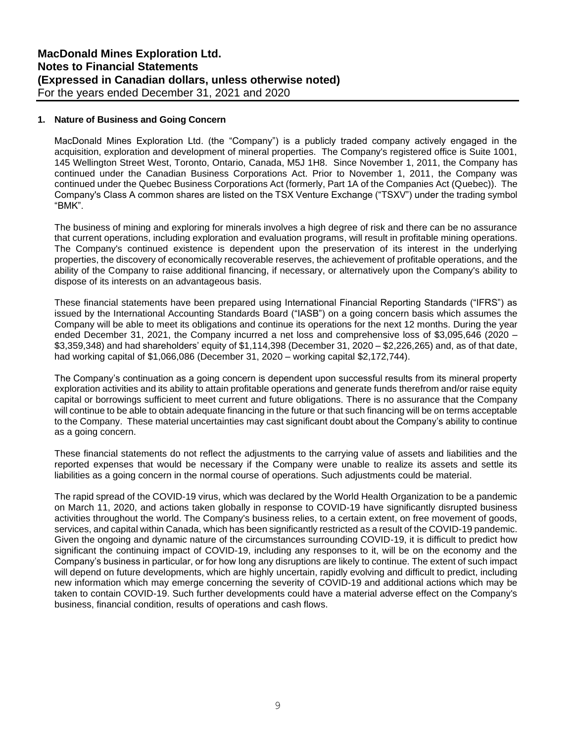# **1. Nature of Business and Going Concern**

MacDonald Mines Exploration Ltd. (the "Company") is a publicly traded company actively engaged in the acquisition, exploration and development of mineral properties. The Company's registered office is Suite 1001, 145 Wellington Street West, Toronto, Ontario, Canada, M5J 1H8. Since November 1, 2011, the Company has continued under the Canadian Business Corporations Act. Prior to November 1, 2011, the Company was continued under the Quebec Business Corporations Act (formerly, Part 1A of the Companies Act (Quebec)). The Company's Class A common shares are listed on the TSX Venture Exchange ("TSXV") under the trading symbol "BMK".

The business of mining and exploring for minerals involves a high degree of risk and there can be no assurance that current operations, including exploration and evaluation programs, will result in profitable mining operations. The Company's continued existence is dependent upon the preservation of its interest in the underlying properties, the discovery of economically recoverable reserves, the achievement of profitable operations, and the ability of the Company to raise additional financing, if necessary, or alternatively upon the Company's ability to dispose of its interests on an advantageous basis.

These financial statements have been prepared using International Financial Reporting Standards ("IFRS") as issued by the International Accounting Standards Board ("IASB") on a going concern basis which assumes the Company will be able to meet its obligations and continue its operations for the next 12 months. During the year ended December 31, 2021, the Company incurred a net loss and comprehensive loss of \$3,095,646 (2020 – \$3,359,348) and had shareholders' equity of \$1,114,398 (December 31, 2020 – \$2,226,265) and, as of that date, had working capital of \$1,066,086 (December 31, 2020 – working capital \$2,172,744).

The Company's continuation as a going concern is dependent upon successful results from its mineral property exploration activities and its ability to attain profitable operations and generate funds therefrom and/or raise equity capital or borrowings sufficient to meet current and future obligations. There is no assurance that the Company will continue to be able to obtain adequate financing in the future or that such financing will be on terms acceptable to the Company. These material uncertainties may cast significant doubt about the Company's ability to continue as a going concern.

These financial statements do not reflect the adjustments to the carrying value of assets and liabilities and the reported expenses that would be necessary if the Company were unable to realize its assets and settle its liabilities as a going concern in the normal course of operations. Such adjustments could be material.

The rapid spread of the COVID-19 virus, which was declared by the World Health Organization to be a pandemic on March 11, 2020, and actions taken globally in response to COVID-19 have significantly disrupted business activities throughout the world. The Company's business relies, to a certain extent, on free movement of goods, services, and capital within Canada, which has been significantly restricted as a result of the COVID-19 pandemic. Given the ongoing and dynamic nature of the circumstances surrounding COVID-19, it is difficult to predict how significant the continuing impact of COVID-19, including any responses to it, will be on the economy and the Company's business in particular, or for how long any disruptions are likely to continue. The extent of such impact will depend on future developments, which are highly uncertain, rapidly evolving and difficult to predict, including new information which may emerge concerning the severity of COVID-19 and additional actions which may be taken to contain COVID-19. Such further developments could have a material adverse effect on the Company's business, financial condition, results of operations and cash flows.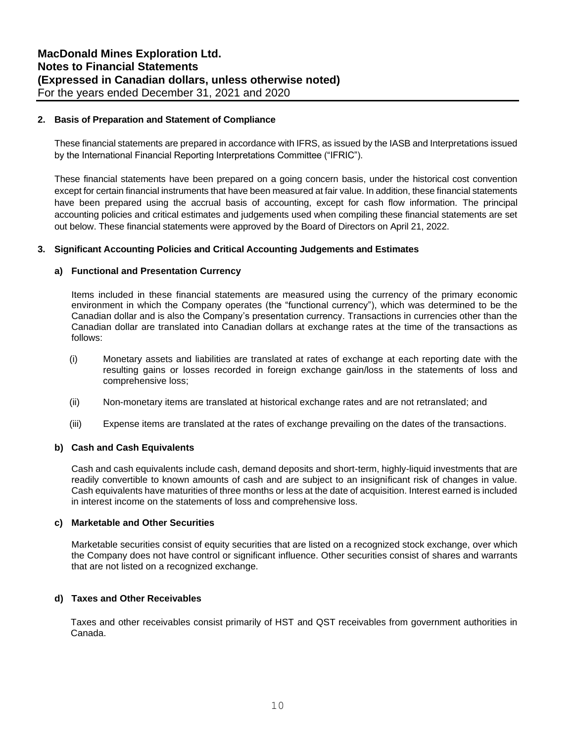# **2. Basis of Preparation and Statement of Compliance**

These financial statements are prepared in accordance with IFRS, as issued by the IASB and Interpretations issued by the International Financial Reporting Interpretations Committee ("IFRIC").

These financial statements have been prepared on a going concern basis, under the historical cost convention except for certain financial instruments that have been measured at fair value. In addition, these financial statements have been prepared using the accrual basis of accounting, except for cash flow information. The principal accounting policies and critical estimates and judgements used when compiling these financial statements are set out below. These financial statements were approved by the Board of Directors on April 21, 2022.

#### **3. Significant Accounting Policies and Critical Accounting Judgements and Estimates**

# **a) Functional and Presentation Currency**

Items included in these financial statements are measured using the currency of the primary economic environment in which the Company operates (the "functional currency"), which was determined to be the Canadian dollar and is also the Company's presentation currency. Transactions in currencies other than the Canadian dollar are translated into Canadian dollars at exchange rates at the time of the transactions as follows:

- (i) Monetary assets and liabilities are translated at rates of exchange at each reporting date with the resulting gains or losses recorded in foreign exchange gain/loss in the statements of loss and comprehensive loss;
- (ii) Non-monetary items are translated at historical exchange rates and are not retranslated; and
- (iii) Expense items are translated at the rates of exchange prevailing on the dates of the transactions.

#### **b) Cash and Cash Equivalents**

Cash and cash equivalents include cash, demand deposits and short-term, highly-liquid investments that are readily convertible to known amounts of cash and are subject to an insignificant risk of changes in value. Cash equivalents have maturities of three months or less at the date of acquisition. Interest earned is included in interest income on the statements of loss and comprehensive loss.

#### **c) Marketable and Other Securities**

Marketable securities consist of equity securities that are listed on a recognized stock exchange, over which the Company does not have control or significant influence. Other securities consist of shares and warrants that are not listed on a recognized exchange.

#### **d) Taxes and Other Receivables**

Taxes and other receivables consist primarily of HST and QST receivables from government authorities in Canada.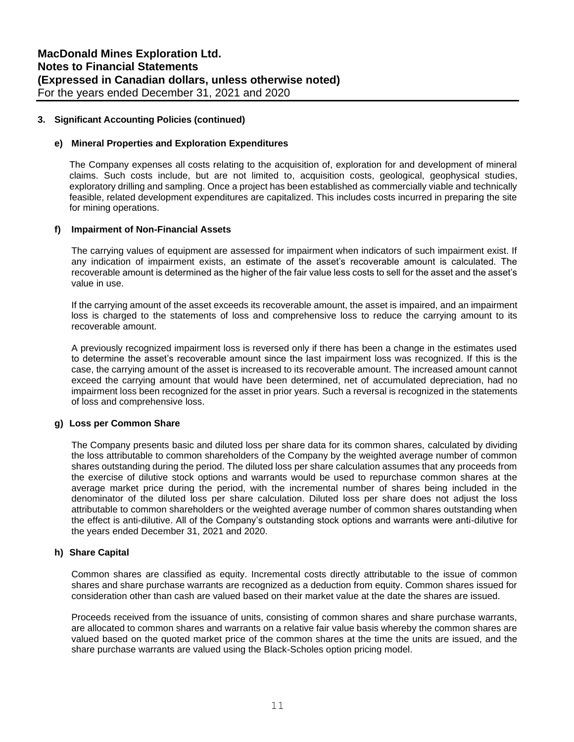#### **e) Mineral Properties and Exploration Expenditures**

The Company expenses all costs relating to the acquisition of, exploration for and development of mineral claims. Such costs include, but are not limited to, acquisition costs, geological, geophysical studies, exploratory drilling and sampling. Once a project has been established as commercially viable and technically feasible, related development expenditures are capitalized. This includes costs incurred in preparing the site for mining operations.

#### **f) Impairment of Non-Financial Assets**

The carrying values of equipment are assessed for impairment when indicators of such impairment exist. If any indication of impairment exists, an estimate of the asset's recoverable amount is calculated. The recoverable amount is determined as the higher of the fair value less costs to sell for the asset and the asset's value in use.

If the carrying amount of the asset exceeds its recoverable amount, the asset is impaired, and an impairment loss is charged to the statements of loss and comprehensive loss to reduce the carrying amount to its recoverable amount.

A previously recognized impairment loss is reversed only if there has been a change in the estimates used to determine the asset's recoverable amount since the last impairment loss was recognized. If this is the case, the carrying amount of the asset is increased to its recoverable amount. The increased amount cannot exceed the carrying amount that would have been determined, net of accumulated depreciation, had no impairment loss been recognized for the asset in prior years. Such a reversal is recognized in the statements of loss and comprehensive loss.

#### **g) Loss per Common Share**

The Company presents basic and diluted loss per share data for its common shares, calculated by dividing the loss attributable to common shareholders of the Company by the weighted average number of common shares outstanding during the period. The diluted loss per share calculation assumes that any proceeds from the exercise of dilutive stock options and warrants would be used to repurchase common shares at the average market price during the period, with the incremental number of shares being included in the denominator of the diluted loss per share calculation. Diluted loss per share does not adjust the loss attributable to common shareholders or the weighted average number of common shares outstanding when the effect is anti-dilutive. All of the Company's outstanding stock options and warrants were anti-dilutive for the years ended December 31, 2021 and 2020.

#### **h) Share Capital**

Common shares are classified as equity. Incremental costs directly attributable to the issue of common shares and share purchase warrants are recognized as a deduction from equity. Common shares issued for consideration other than cash are valued based on their market value at the date the shares are issued.

Proceeds received from the issuance of units, consisting of common shares and share purchase warrants, are allocated to common shares and warrants on a relative fair value basis whereby the common shares are valued based on the quoted market price of the common shares at the time the units are issued, and the share purchase warrants are valued using the Black-Scholes option pricing model.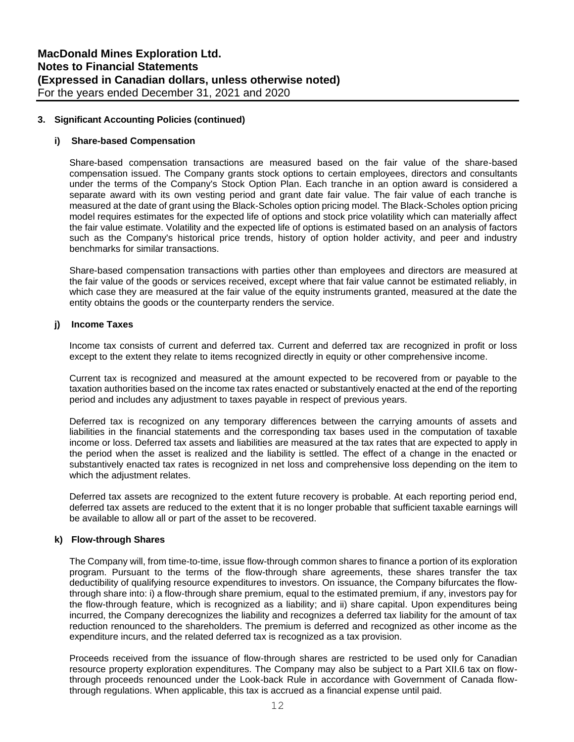#### **i) Share-based Compensation**

Share-based compensation transactions are measured based on the fair value of the share-based compensation issued. The Company grants stock options to certain employees, directors and consultants under the terms of the Company's Stock Option Plan. Each tranche in an option award is considered a separate award with its own vesting period and grant date fair value. The fair value of each tranche is measured at the date of grant using the Black-Scholes option pricing model. The Black-Scholes option pricing model requires estimates for the expected life of options and stock price volatility which can materially affect the fair value estimate. Volatility and the expected life of options is estimated based on an analysis of factors such as the Company's historical price trends, history of option holder activity, and peer and industry benchmarks for similar transactions.

Share-based compensation transactions with parties other than employees and directors are measured at the fair value of the goods or services received, except where that fair value cannot be estimated reliably, in which case they are measured at the fair value of the equity instruments granted, measured at the date the entity obtains the goods or the counterparty renders the service.

### **j) Income Taxes**

Income tax consists of current and deferred tax. Current and deferred tax are recognized in profit or loss except to the extent they relate to items recognized directly in equity or other comprehensive income.

Current tax is recognized and measured at the amount expected to be recovered from or payable to the taxation authorities based on the income tax rates enacted or substantively enacted at the end of the reporting period and includes any adjustment to taxes payable in respect of previous years.

Deferred tax is recognized on any temporary differences between the carrying amounts of assets and liabilities in the financial statements and the corresponding tax bases used in the computation of taxable income or loss. Deferred tax assets and liabilities are measured at the tax rates that are expected to apply in the period when the asset is realized and the liability is settled. The effect of a change in the enacted or substantively enacted tax rates is recognized in net loss and comprehensive loss depending on the item to which the adjustment relates.

Deferred tax assets are recognized to the extent future recovery is probable. At each reporting period end, deferred tax assets are reduced to the extent that it is no longer probable that sufficient taxable earnings will be available to allow all or part of the asset to be recovered.

#### **k) Flow-through Shares**

The Company will, from time-to-time, issue flow-through common shares to finance a portion of its exploration program. Pursuant to the terms of the flow-through share agreements, these shares transfer the tax deductibility of qualifying resource expenditures to investors. On issuance, the Company bifurcates the flowthrough share into: i) a flow-through share premium, equal to the estimated premium, if any, investors pay for the flow-through feature, which is recognized as a liability; and ii) share capital. Upon expenditures being incurred, the Company derecognizes the liability and recognizes a deferred tax liability for the amount of tax reduction renounced to the shareholders. The premium is deferred and recognized as other income as the expenditure incurs, and the related deferred tax is recognized as a tax provision.

Proceeds received from the issuance of flow-through shares are restricted to be used only for Canadian resource property exploration expenditures. The Company may also be subject to a Part XII.6 tax on flowthrough proceeds renounced under the Look-back Rule in accordance with Government of Canada flowthrough regulations. When applicable, this tax is accrued as a financial expense until paid.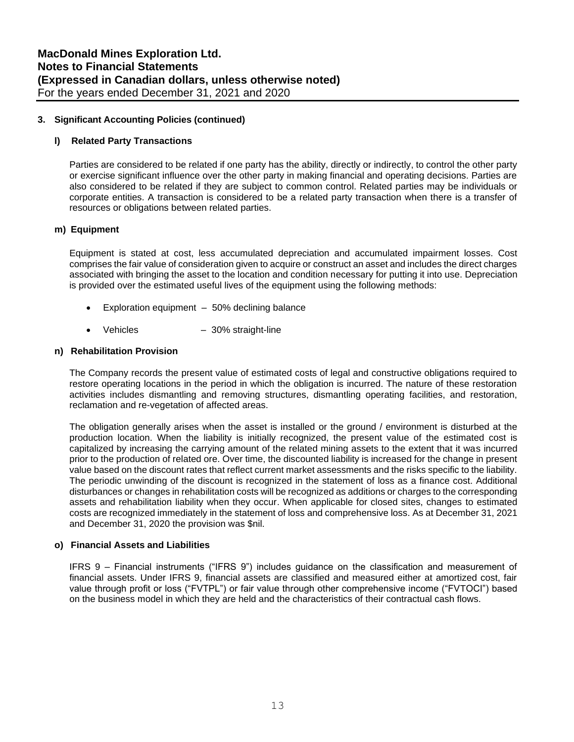### **l) Related Party Transactions**

Parties are considered to be related if one party has the ability, directly or indirectly, to control the other party or exercise significant influence over the other party in making financial and operating decisions. Parties are also considered to be related if they are subject to common control. Related parties may be individuals or corporate entities. A transaction is considered to be a related party transaction when there is a transfer of resources or obligations between related parties.

#### **m) Equipment**

Equipment is stated at cost, less accumulated depreciation and accumulated impairment losses. Cost comprises the fair value of consideration given to acquire or construct an asset and includes the direct charges associated with bringing the asset to the location and condition necessary for putting it into use. Depreciation is provided over the estimated useful lives of the equipment using the following methods:

- Exploration equipment 50% declining balance
- Vehicles 30% straight-line

#### **n) Rehabilitation Provision**

The Company records the present value of estimated costs of legal and constructive obligations required to restore operating locations in the period in which the obligation is incurred. The nature of these restoration activities includes dismantling and removing structures, dismantling operating facilities, and restoration, reclamation and re-vegetation of affected areas.

The obligation generally arises when the asset is installed or the ground / environment is disturbed at the production location. When the liability is initially recognized, the present value of the estimated cost is capitalized by increasing the carrying amount of the related mining assets to the extent that it was incurred prior to the production of related ore. Over time, the discounted liability is increased for the change in present value based on the discount rates that reflect current market assessments and the risks specific to the liability. The periodic unwinding of the discount is recognized in the statement of loss as a finance cost. Additional disturbances or changes in rehabilitation costs will be recognized as additions or charges to the corresponding assets and rehabilitation liability when they occur. When applicable for closed sites, changes to estimated costs are recognized immediately in the statement of loss and comprehensive loss. As at December 31, 2021 and December 31, 2020 the provision was \$nil.

#### **o) Financial Assets and Liabilities**

IFRS 9 – Financial instruments ("IFRS 9") includes guidance on the classification and measurement of financial assets. Under IFRS 9, financial assets are classified and measured either at amortized cost, fair value through profit or loss ("FVTPL") or fair value through other comprehensive income ("FVTOCI") based on the business model in which they are held and the characteristics of their contractual cash flows.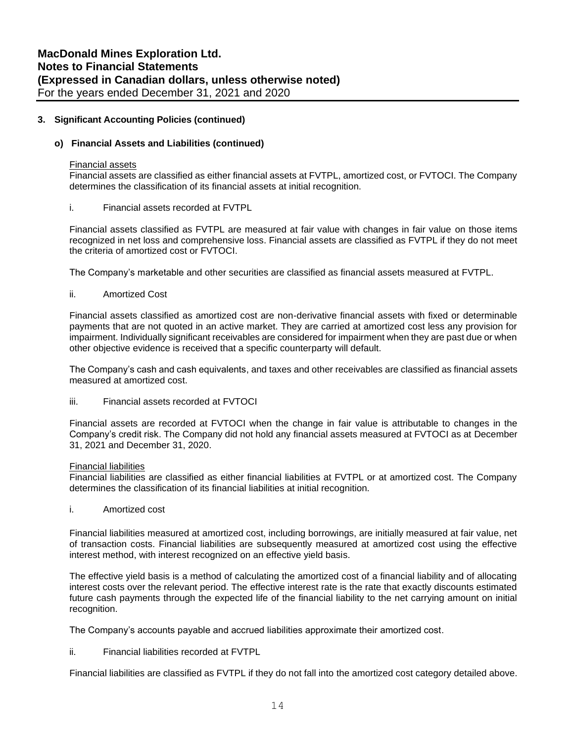#### **o) Financial Assets and Liabilities (continued)**

#### Financial assets

Financial assets are classified as either financial assets at FVTPL, amortized cost, or FVTOCI. The Company determines the classification of its financial assets at initial recognition.

#### i. Financial assets recorded at FVTPL

Financial assets classified as FVTPL are measured at fair value with changes in fair value on those items recognized in net loss and comprehensive loss. Financial assets are classified as FVTPL if they do not meet the criteria of amortized cost or FVTOCI.

The Company's marketable and other securities are classified as financial assets measured at FVTPL.

#### ii. Amortized Cost

Financial assets classified as amortized cost are non-derivative financial assets with fixed or determinable payments that are not quoted in an active market. They are carried at amortized cost less any provision for impairment. Individually significant receivables are considered for impairment when they are past due or when other objective evidence is received that a specific counterparty will default.

The Company's cash and cash equivalents, and taxes and other receivables are classified as financial assets measured at amortized cost.

iii. Financial assets recorded at FVTOCI

Financial assets are recorded at FVTOCI when the change in fair value is attributable to changes in the Company's credit risk. The Company did not hold any financial assets measured at FVTOCI as at December 31, 2021 and December 31, 2020.

#### Financial liabilities

Financial liabilities are classified as either financial liabilities at FVTPL or at amortized cost. The Company determines the classification of its financial liabilities at initial recognition.

i. Amortized cost

Financial liabilities measured at amortized cost, including borrowings, are initially measured at fair value, net of transaction costs. Financial liabilities are subsequently measured at amortized cost using the effective interest method, with interest recognized on an effective yield basis.

The effective yield basis is a method of calculating the amortized cost of a financial liability and of allocating interest costs over the relevant period. The effective interest rate is the rate that exactly discounts estimated future cash payments through the expected life of the financial liability to the net carrying amount on initial recognition.

The Company's accounts payable and accrued liabilities approximate their amortized cost.

ii. Financial liabilities recorded at FVTPL

Financial liabilities are classified as FVTPL if they do not fall into the amortized cost category detailed above.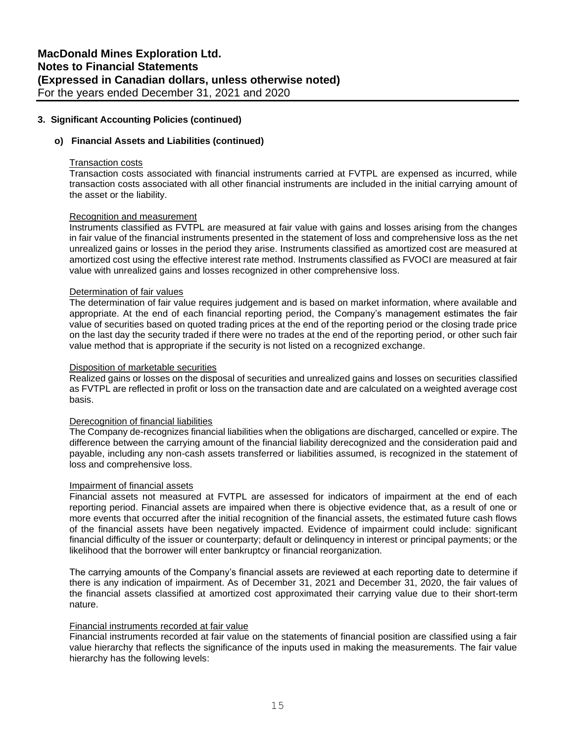#### **o) Financial Assets and Liabilities (continued)**

#### Transaction costs

Transaction costs associated with financial instruments carried at FVTPL are expensed as incurred, while transaction costs associated with all other financial instruments are included in the initial carrying amount of the asset or the liability.

#### Recognition and measurement

Instruments classified as FVTPL are measured at fair value with gains and losses arising from the changes in fair value of the financial instruments presented in the statement of loss and comprehensive loss as the net unrealized gains or losses in the period they arise. Instruments classified as amortized cost are measured at amortized cost using the effective interest rate method. Instruments classified as FVOCI are measured at fair value with unrealized gains and losses recognized in other comprehensive loss.

#### Determination of fair values

The determination of fair value requires judgement and is based on market information, where available and appropriate. At the end of each financial reporting period, the Company's management estimates the fair value of securities based on quoted trading prices at the end of the reporting period or the closing trade price on the last day the security traded if there were no trades at the end of the reporting period, or other such fair value method that is appropriate if the security is not listed on a recognized exchange.

#### Disposition of marketable securities

Realized gains or losses on the disposal of securities and unrealized gains and losses on securities classified as FVTPL are reflected in profit or loss on the transaction date and are calculated on a weighted average cost basis.

#### Derecognition of financial liabilities

The Company de-recognizes financial liabilities when the obligations are discharged, cancelled or expire. The difference between the carrying amount of the financial liability derecognized and the consideration paid and payable, including any non-cash assets transferred or liabilities assumed, is recognized in the statement of loss and comprehensive loss.

#### Impairment of financial assets

Financial assets not measured at FVTPL are assessed for indicators of impairment at the end of each reporting period. Financial assets are impaired when there is objective evidence that, as a result of one or more events that occurred after the initial recognition of the financial assets, the estimated future cash flows of the financial assets have been negatively impacted. Evidence of impairment could include: significant financial difficulty of the issuer or counterparty; default or delinquency in interest or principal payments; or the likelihood that the borrower will enter bankruptcy or financial reorganization.

The carrying amounts of the Company's financial assets are reviewed at each reporting date to determine if there is any indication of impairment. As of December 31, 2021 and December 31, 2020, the fair values of the financial assets classified at amortized cost approximated their carrying value due to their short-term nature.

#### Financial instruments recorded at fair value

Financial instruments recorded at fair value on the statements of financial position are classified using a fair value hierarchy that reflects the significance of the inputs used in making the measurements. The fair value hierarchy has the following levels: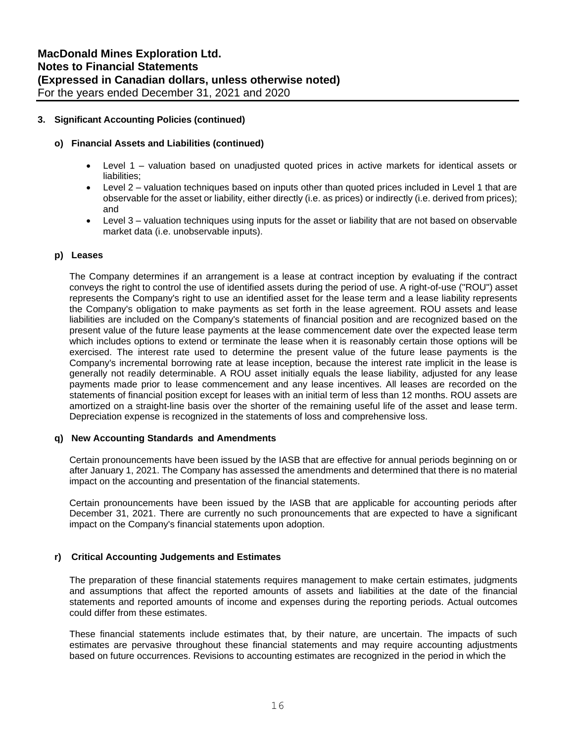#### **o) Financial Assets and Liabilities (continued)**

- Level 1 valuation based on unadjusted quoted prices in active markets for identical assets or liabilities;
- Level 2 valuation techniques based on inputs other than quoted prices included in Level 1 that are observable for the asset or liability, either directly (i.e. as prices) or indirectly (i.e. derived from prices); and
- Level 3 valuation techniques using inputs for the asset or liability that are not based on observable market data (i.e. unobservable inputs).

#### **p) Leases**

The Company determines if an arrangement is a lease at contract inception by evaluating if the contract conveys the right to control the use of identified assets during the period of use. A right-of-use ("ROU") asset represents the Company's right to use an identified asset for the lease term and a lease liability represents the Company's obligation to make payments as set forth in the lease agreement. ROU assets and lease liabilities are included on the Company's statements of financial position and are recognized based on the present value of the future lease payments at the lease commencement date over the expected lease term which includes options to extend or terminate the lease when it is reasonably certain those options will be exercised. The interest rate used to determine the present value of the future lease payments is the Company's incremental borrowing rate at lease inception, because the interest rate implicit in the lease is generally not readily determinable. A ROU asset initially equals the lease liability, adjusted for any lease payments made prior to lease commencement and any lease incentives. All leases are recorded on the statements of financial position except for leases with an initial term of less than 12 months. ROU assets are amortized on a straight-line basis over the shorter of the remaining useful life of the asset and lease term. Depreciation expense is recognized in the statements of loss and comprehensive loss.

#### **q) New Accounting Standards and Amendments**

Certain pronouncements have been issued by the IASB that are effective for annual periods beginning on or after January 1, 2021. The Company has assessed the amendments and determined that there is no material impact on the accounting and presentation of the financial statements.

Certain pronouncements have been issued by the IASB that are applicable for accounting periods after December 31, 2021. There are currently no such pronouncements that are expected to have a significant impact on the Company's financial statements upon adoption.

#### **r) Critical Accounting Judgements and Estimates**

The preparation of these financial statements requires management to make certain estimates, judgments and assumptions that affect the reported amounts of assets and liabilities at the date of the financial statements and reported amounts of income and expenses during the reporting periods. Actual outcomes could differ from these estimates.

These financial statements include estimates that, by their nature, are uncertain. The impacts of such estimates are pervasive throughout these financial statements and may require accounting adjustments based on future occurrences. Revisions to accounting estimates are recognized in the period in which the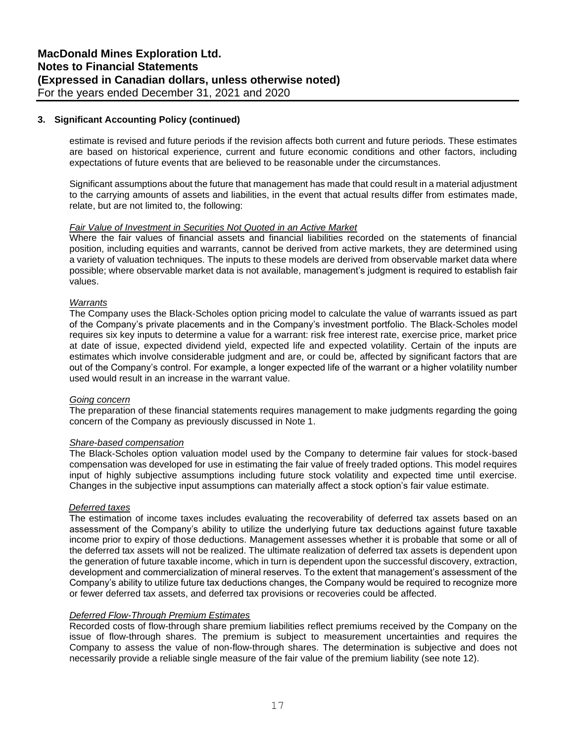estimate is revised and future periods if the revision affects both current and future periods. These estimates are based on historical experience, current and future economic conditions and other factors, including expectations of future events that are believed to be reasonable under the circumstances.

Significant assumptions about the future that management has made that could result in a material adjustment to the carrying amounts of assets and liabilities, in the event that actual results differ from estimates made, relate, but are not limited to, the following:

#### *Fair Value of Investment in Securities Not Quoted in an Active Market*

Where the fair values of financial assets and financial liabilities recorded on the statements of financial position, including equities and warrants, cannot be derived from active markets, they are determined using a variety of valuation techniques. The inputs to these models are derived from observable market data where possible; where observable market data is not available, management's judgment is required to establish fair values.

#### *Warrants*

The Company uses the Black-Scholes option pricing model to calculate the value of warrants issued as part of the Company's private placements and in the Company's investment portfolio. The Black-Scholes model requires six key inputs to determine a value for a warrant: risk free interest rate, exercise price, market price at date of issue, expected dividend yield, expected life and expected volatility. Certain of the inputs are estimates which involve considerable judgment and are, or could be, affected by significant factors that are out of the Company's control. For example, a longer expected life of the warrant or a higher volatility number used would result in an increase in the warrant value.

#### *Going concern*

The preparation of these financial statements requires management to make judgments regarding the going concern of the Company as previously discussed in Note 1.

#### *Share-based compensation*

The Black-Scholes option valuation model used by the Company to determine fair values for stock-based compensation was developed for use in estimating the fair value of freely traded options. This model requires input of highly subjective assumptions including future stock volatility and expected time until exercise. Changes in the subjective input assumptions can materially affect a stock option's fair value estimate.

#### *Deferred taxes*

The estimation of income taxes includes evaluating the recoverability of deferred tax assets based on an assessment of the Company's ability to utilize the underlying future tax deductions against future taxable income prior to expiry of those deductions. Management assesses whether it is probable that some or all of the deferred tax assets will not be realized. The ultimate realization of deferred tax assets is dependent upon the generation of future taxable income, which in turn is dependent upon the successful discovery, extraction, development and commercialization of mineral reserves. To the extent that management's assessment of the Company's ability to utilize future tax deductions changes, the Company would be required to recognize more or fewer deferred tax assets, and deferred tax provisions or recoveries could be affected.

#### *Deferred Flow-Through Premium Estimates*

Recorded costs of flow-through share premium liabilities reflect premiums received by the Company on the issue of flow-through shares. The premium is subject to measurement uncertainties and requires the Company to assess the value of non-flow-through shares. The determination is subjective and does not necessarily provide a reliable single measure of the fair value of the premium liability (see note 12).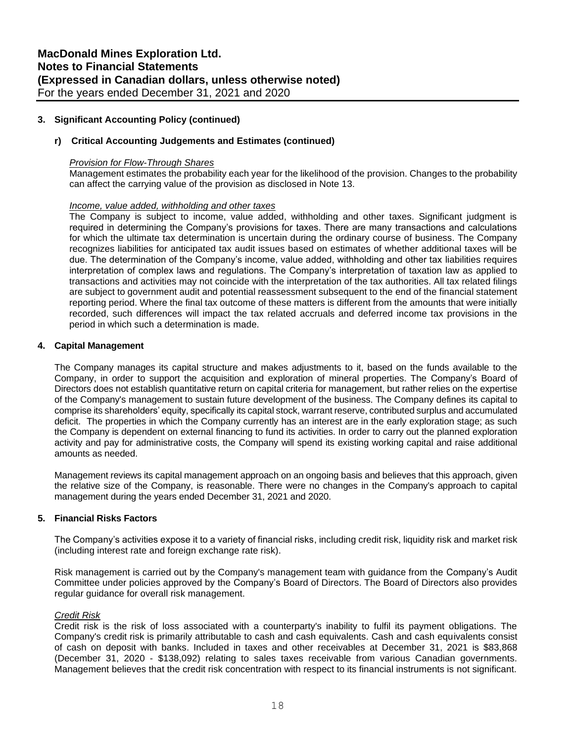#### **r) Critical Accounting Judgements and Estimates (continued)**

#### *Provision for Flow-Through Shares*

Management estimates the probability each year for the likelihood of the provision. Changes to the probability can affect the carrying value of the provision as disclosed in Note 13.

#### *Income, value added, withholding and other taxes*

The Company is subject to income, value added, withholding and other taxes. Significant judgment is required in determining the Company's provisions for taxes. There are many transactions and calculations for which the ultimate tax determination is uncertain during the ordinary course of business. The Company recognizes liabilities for anticipated tax audit issues based on estimates of whether additional taxes will be due. The determination of the Company's income, value added, withholding and other tax liabilities requires interpretation of complex laws and regulations. The Company's interpretation of taxation law as applied to transactions and activities may not coincide with the interpretation of the tax authorities. All tax related filings are subject to government audit and potential reassessment subsequent to the end of the financial statement reporting period. Where the final tax outcome of these matters is different from the amounts that were initially recorded, such differences will impact the tax related accruals and deferred income tax provisions in the period in which such a determination is made.

#### **4. Capital Management**

The Company manages its capital structure and makes adjustments to it, based on the funds available to the Company, in order to support the acquisition and exploration of mineral properties. The Company's Board of Directors does not establish quantitative return on capital criteria for management, but rather relies on the expertise of the Company's management to sustain future development of the business. The Company defines its capital to comprise its shareholders' equity, specifically its capital stock, warrant reserve, contributed surplus and accumulated deficit. The properties in which the Company currently has an interest are in the early exploration stage; as such the Company is dependent on external financing to fund its activities. In order to carry out the planned exploration activity and pay for administrative costs, the Company will spend its existing working capital and raise additional amounts as needed.

Management reviews its capital management approach on an ongoing basis and believes that this approach, given the relative size of the Company, is reasonable. There were no changes in the Company's approach to capital management during the years ended December 31, 2021 and 2020.

#### **5. Financial Risks Factors**

The Company's activities expose it to a variety of financial risks, including credit risk, liquidity risk and market risk (including interest rate and foreign exchange rate risk).

Risk management is carried out by the Company's management team with guidance from the Company's Audit Committee under policies approved by the Company's Board of Directors. The Board of Directors also provides regular guidance for overall risk management.

#### *Credit Risk*

Credit risk is the risk of loss associated with a counterparty's inability to fulfil its payment obligations. The Company's credit risk is primarily attributable to cash and cash equivalents. Cash and cash equivalents consist of cash on deposit with banks. Included in taxes and other receivables at December 31, 2021 is \$83,868 (December 31, 2020 - \$138,092) relating to sales taxes receivable from various Canadian governments. Management believes that the credit risk concentration with respect to its financial instruments is not significant.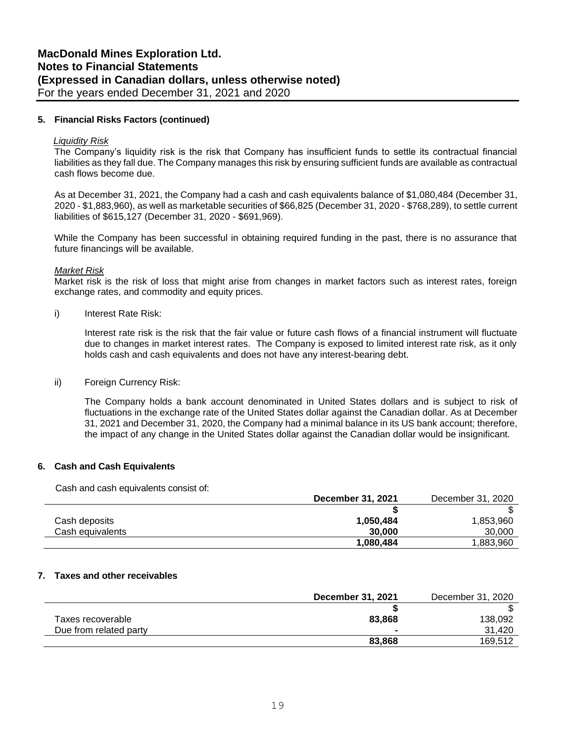### **5. Financial Risks Factors (continued)**

#### *Liquidity Risk*

The Company's liquidity risk is the risk that Company has insufficient funds to settle its contractual financial liabilities as they fall due. The Company manages this risk by ensuring sufficient funds are available as contractual cash flows become due.

As at December 31, 2021, the Company had a cash and cash equivalents balance of \$1,080,484 (December 31, 2020 - \$1,883,960), as well as marketable securities of \$66,825 (December 31, 2020 - \$768,289), to settle current liabilities of \$615,127 (December 31, 2020 - \$691,969).

While the Company has been successful in obtaining required funding in the past, there is no assurance that future financings will be available.

#### *Market Risk*

Market risk is the risk of loss that might arise from changes in market factors such as interest rates, foreign exchange rates, and commodity and equity prices.

i) Interest Rate Risk:

Interest rate risk is the risk that the fair value or future cash flows of a financial instrument will fluctuate due to changes in market interest rates. The Company is exposed to limited interest rate risk, as it only holds cash and cash equivalents and does not have any interest-bearing debt.

#### ii) Foreign Currency Risk:

The Company holds a bank account denominated in United States dollars and is subject to risk of fluctuations in the exchange rate of the United States dollar against the Canadian dollar. As at December 31, 2021 and December 31, 2020, the Company had a minimal balance in its US bank account; therefore, the impact of any change in the United States dollar against the Canadian dollar would be insignificant.

#### **6. Cash and Cash Equivalents**

Cash and cash equivalents consist of:

|                  | <b>December 31, 2021</b> | December 31, 2020 |
|------------------|--------------------------|-------------------|
|                  |                          |                   |
| Cash deposits    | 1,050,484                | 1,853,960         |
| Cash equivalents | 30,000                   | 30,000            |
|                  | 1,080,484                | 1,883,960         |

#### **7. Taxes and other receivables**

|                        | <b>December 31, 2021</b> | December 31, 2020 |
|------------------------|--------------------------|-------------------|
|                        |                          |                   |
| Taxes recoverable      | 83.868                   | 138,092           |
| Due from related party |                          | 31,420            |
|                        | 83,868                   | 169.512           |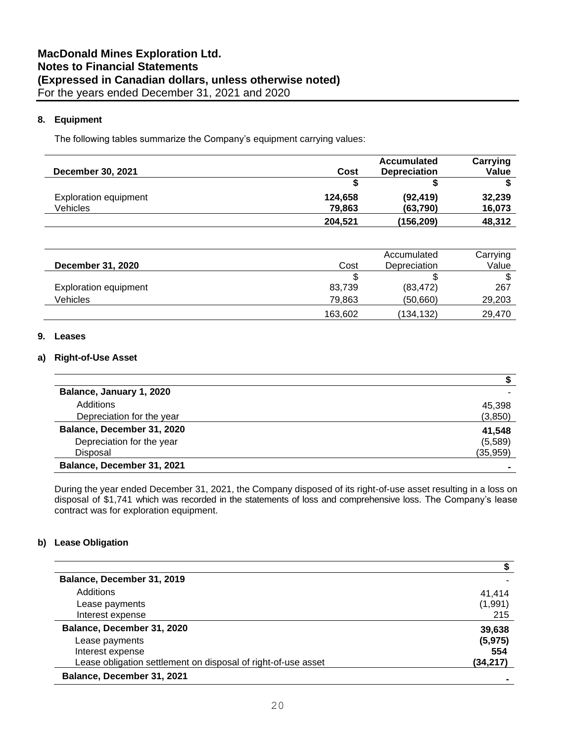# **8. Equipment**

The following tables summarize the Company's equipment carrying values:

|                              |         | <b>Accumulated</b>  | Carrying |
|------------------------------|---------|---------------------|----------|
| <b>December 30, 2021</b>     | Cost    | <b>Depreciation</b> | Value    |
|                              |         |                     |          |
| <b>Exploration equipment</b> | 124.658 | (92, 419)           | 32,239   |
| Vehicles                     | 79.863  | (63,790)            | 16,073   |
|                              | 204,521 | (156,209)           | 48,312   |

|                              |         | Accumulated  | Carrying |
|------------------------------|---------|--------------|----------|
| December 31, 2020            | Cost    | Depreciation | Value    |
|                              |         |              |          |
| <b>Exploration equipment</b> | 83,739  | (83, 472)    | 267      |
| Vehicles                     | 79.863  | (50,660)     | 29,203   |
|                              | 163,602 | (134, 132)   | 29,470   |

# **9. Leases**

# **a) Right-of-Use Asset**

| Balance, January 1, 2020   |           |
|----------------------------|-----------|
| Additions                  | 45,398    |
| Depreciation for the year  | (3,850)   |
| Balance, December 31, 2020 | 41,548    |
| Depreciation for the year  | (5,589)   |
| Disposal                   | (35, 959) |
| Balance, December 31, 2021 |           |

During the year ended December 31, 2021, the Company disposed of its right-of-use asset resulting in a loss on disposal of \$1,741 which was recorded in the statements of loss and comprehensive loss. The Company's lease contract was for exploration equipment.

# **b) Lease Obligation**

| Balance, December 31, 2019                                    |          |
|---------------------------------------------------------------|----------|
| Additions                                                     | 41.414   |
| Lease payments                                                | (1,991)  |
| Interest expense                                              | 215      |
| Balance, December 31, 2020                                    | 39,638   |
| Lease payments                                                | (5, 975) |
| Interest expense                                              | 554      |
| Lease obligation settlement on disposal of right-of-use asset | (34,217) |
| Balance, December 31, 2021                                    |          |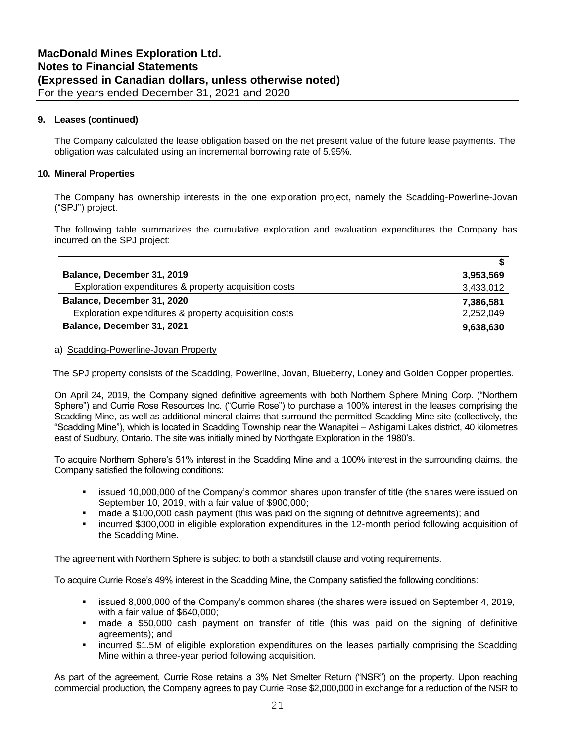# **9. Leases (continued)**

The Company calculated the lease obligation based on the net present value of the future lease payments. The obligation was calculated using an incremental borrowing rate of 5.95%.

#### **10. Mineral Properties**

The Company has ownership interests in the one exploration project, namely the Scadding-Powerline-Jovan ("SPJ") project.

The following table summarizes the cumulative exploration and evaluation expenditures the Company has incurred on the SPJ project:

| Balance, December 31, 2019                            | 3,953,569 |
|-------------------------------------------------------|-----------|
| Exploration expenditures & property acquisition costs | 3,433,012 |
| Balance, December 31, 2020                            | 7,386,581 |
| Exploration expenditures & property acquisition costs | 2,252,049 |
| Balance, December 31, 2021                            | 9,638,630 |

#### a) Scadding-Powerline-Jovan Property

The SPJ property consists of the Scadding, Powerline, Jovan, Blueberry, Loney and Golden Copper properties.

On April 24, 2019, the Company signed definitive agreements with both Northern Sphere Mining Corp. ("Northern Sphere") and Currie Rose Resources Inc. ("Currie Rose") to purchase a 100% interest in the leases comprising the Scadding Mine, as well as additional mineral claims that surround the permitted Scadding Mine site (collectively, the "Scadding Mine"), which is located in Scadding Township near the Wanapitei – Ashigami Lakes district, 40 kilometres east of Sudbury, Ontario. The site was initially mined by Northgate Exploration in the 1980's.

To acquire Northern Sphere's 51% interest in the Scadding Mine and a 100% interest in the surrounding claims, the Company satisfied the following conditions:

- issued 10,000,000 of the Company's common shares upon transfer of title (the shares were issued on September 10, 2019, with a fair value of \$900,000;
- made a \$100,000 cash payment (this was paid on the signing of definitive agreements); and
- incurred \$300,000 in eligible exploration expenditures in the 12-month period following acquisition of the Scadding Mine.

The agreement with Northern Sphere is subject to both a standstill clause and voting requirements.

To acquire Currie Rose's 49% interest in the Scadding Mine, the Company satisfied the following conditions:

- issued 8,000,000 of the Company's common shares (the shares were issued on September 4, 2019, with a fair value of \$640,000;
- made a \$50,000 cash payment on transfer of title (this was paid on the signing of definitive agreements); and
- **•** incurred \$1.5M of eligible exploration expenditures on the leases partially comprising the Scadding Mine within a three-year period following acquisition.

As part of the agreement, Currie Rose retains a 3% Net Smelter Return ("NSR") on the property. Upon reaching commercial production, the Company agrees to pay Currie Rose \$2,000,000 in exchange for a reduction of the NSR to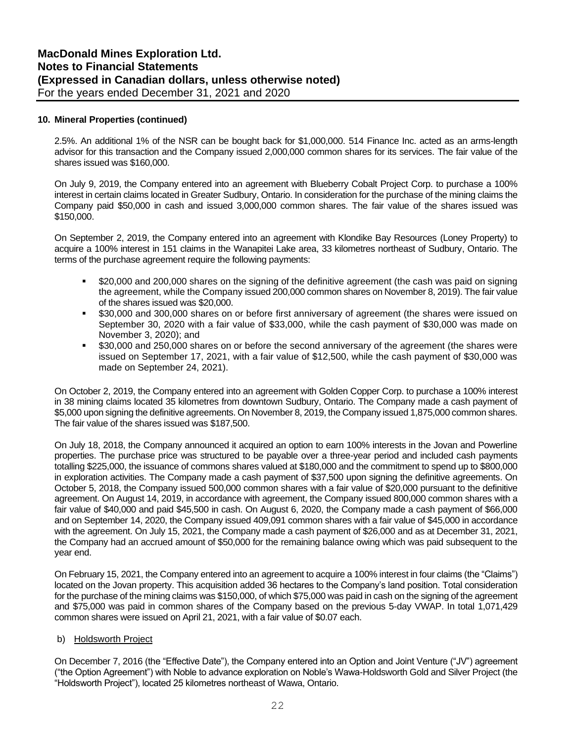# **10. Mineral Properties (continued)**

2.5%. An additional 1% of the NSR can be bought back for \$1,000,000. 514 Finance Inc. acted as an arms-length advisor for this transaction and the Company issued 2,000,000 common shares for its services. The fair value of the shares issued was \$160,000.

On July 9, 2019, the Company entered into an agreement with Blueberry Cobalt Project Corp. to purchase a 100% interest in certain claims located in Greater Sudbury, Ontario. In consideration for the purchase of the mining claims the Company paid \$50,000 in cash and issued 3,000,000 common shares. The fair value of the shares issued was \$150,000.

On September 2, 2019, the Company entered into an agreement with Klondike Bay Resources (Loney Property) to acquire a 100% interest in 151 claims in the Wanapitei Lake area, 33 kilometres northeast of Sudbury, Ontario. The terms of the purchase agreement require the following payments:

- \$20,000 and 200,000 shares on the signing of the definitive agreement (the cash was paid on signing the agreement, while the Company issued 200,000 common shares on November 8, 2019). The fair value of the shares issued was \$20,000.
- \$30,000 and 300,000 shares on or before first anniversary of agreement (the shares were issued on September 30, 2020 with a fair value of \$33,000, while the cash payment of \$30,000 was made on November 3, 2020); and
- \$30,000 and 250,000 shares on or before the second anniversary of the agreement (the shares were issued on September 17, 2021, with a fair value of \$12,500, while the cash payment of \$30,000 was made on September 24, 2021).

On October 2, 2019, the Company entered into an agreement with Golden Copper Corp. to purchase a 100% interest in 38 mining claims located 35 kilometres from downtown Sudbury, Ontario. The Company made a cash payment of \$5,000 upon signing the definitive agreements. On November 8, 2019, the Company issued 1,875,000 common shares. The fair value of the shares issued was \$187,500.

On July 18, 2018, the Company announced it acquired an option to earn 100% interests in the Jovan and Powerline properties. The purchase price was structured to be payable over a three-year period and included cash payments totalling \$225,000, the issuance of commons shares valued at \$180,000 and the commitment to spend up to \$800,000 in exploration activities. The Company made a cash payment of \$37,500 upon signing the definitive agreements. On October 5, 2018, the Company issued 500,000 common shares with a fair value of \$20,000 pursuant to the definitive agreement. On August 14, 2019, in accordance with agreement, the Company issued 800,000 common shares with a fair value of \$40,000 and paid \$45,500 in cash. On August 6, 2020, the Company made a cash payment of \$66,000 and on September 14, 2020, the Company issued 409,091 common shares with a fair value of \$45,000 in accordance with the agreement. On July 15, 2021, the Company made a cash payment of \$26,000 and as at December 31, 2021, the Company had an accrued amount of \$50,000 for the remaining balance owing which was paid subsequent to the year end.

On February 15, 2021, the Company entered into an agreement to acquire a 100% interest in four claims (the "Claims") located on the Jovan property. This acquisition added 36 hectares to the Company's land position. Total consideration for the purchase of the mining claims was \$150,000, of which \$75,000 was paid in cash on the signing of the agreement and \$75,000 was paid in common shares of the Company based on the previous 5-day VWAP. In total 1,071,429 common shares were issued on April 21, 2021, with a fair value of \$0.07 each.

#### b) Holdsworth Project

On December 7, 2016 (the "Effective Date"), the Company entered into an Option and Joint Venture ("JV") agreement ("the Option Agreement") with Noble to advance exploration on Noble's Wawa-Holdsworth Gold and Silver Project (the "Holdsworth Project"), located 25 kilometres northeast of Wawa, Ontario.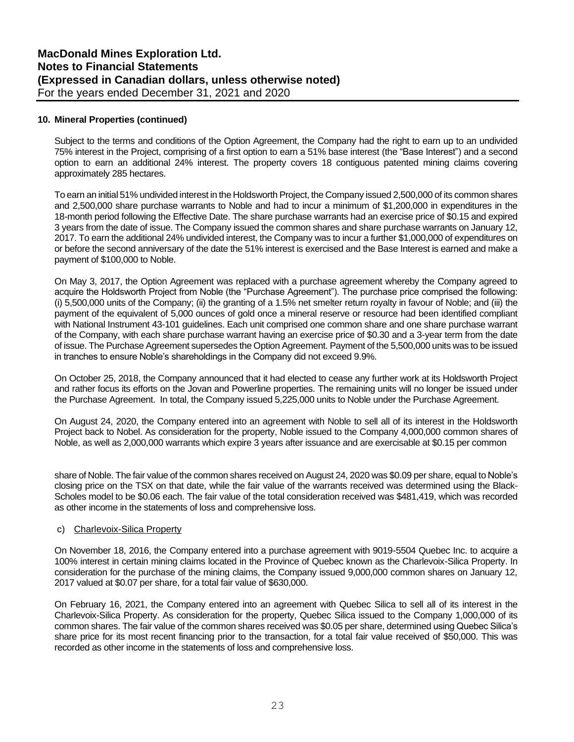# **10. Mineral Properties (continued)**

Subject to the terms and conditions of the Option Agreement, the Company had the right to earn up to an undivided 75% interest in the Project, comprising of a first option to earn a 51% base interest (the "Base Interest") and a second option to earn an additional 24% interest. The property covers 18 contiguous patented mining claims covering approximately 285 hectares.

To earn an initial 51% undivided interest in the Holdsworth Project, the Company issued 2,500,000 of its common shares and 2,500,000 share purchase warrants to Noble and had to incur a minimum of \$1,200,000 in expenditures in the 18-month period following the Effective Date. The share purchase warrants had an exercise price of \$0.15 and expired 3 years from the date of issue. The Company issued the common shares and share purchase warrants on January 12, 2017. To earn the additional 24% undivided interest, the Company was to incur a further \$1,000,000 of expenditures on or before the second anniversary of the date the 51% interest is exercised and the Base Interest is earned and make a payment of \$100,000 to Noble.

On May 3, 2017, the Option Agreement was replaced with a purchase agreement whereby the Company agreed to acquire the Holdsworth Project from Noble (the "Purchase Agreement"). The purchase price comprised the following: (i) 5,500,000 units of the Company; (ii) the granting of a 1.5% net smelter return royalty in favour of Noble; and (iii) the payment of the equivalent of 5,000 ounces of gold once a mineral reserve or resource had been identified compliant with National Instrument 43-101 guidelines. Each unit comprised one common share and one share purchase warrant of the Company, with each share purchase warrant having an exercise price of \$0.30 and a 3-year term from the date of issue. The Purchase Agreement supersedes the Option Agreement. Payment of the 5,500,000 units was to be issued in tranches to ensure Noble's shareholdings in the Company did not exceed 9.9%.

On October 25, 2018, the Company announced that it had elected to cease any further work at its Holdsworth Project and rather focus its efforts on the Jovan and Powerline properties. The remaining units will no longer be issued under the Purchase Agreement. In total, the Company issued 5,225,000 units to Noble under the Purchase Agreement.

On August 24, 2020, the Company entered into an agreement with Noble to sell all of its interest in the Holdsworth Project back to Nobel. As consideration for the property, Noble issued to the Company 4,000,000 common shares of Noble, as well as 2,000,000 warrants which expire 3 years after issuance and are exercisable at \$0.15 per common

share of Noble. The fair value of the common shares received on August 24, 2020 was \$0.09 per share, equal to Noble's closing price on the TSX on that date, while the fair value of the warrants received was determined using the Black-Scholes model to be \$0.06 each. The fair value of the total consideration received was \$481,419, which was recorded as other income in the statements of loss and comprehensive loss.

#### c) Charlevoix-Silica Property

On November 18, 2016, the Company entered into a purchase agreement with 9019-5504 Quebec Inc. to acquire a 100% interest in certain mining claims located in the Province of Quebec known as the Charlevoix-Silica Property. In consideration for the purchase of the mining claims, the Company issued 9,000,000 common shares on January 12, 2017 valued at \$0.07 per share, for a total fair value of \$630,000.

On February 16, 2021, the Company entered into an agreement with Quebec Silica to sell all of its interest in the Charlevoix-Silica Property. As consideration for the property, Quebec Silica issued to the Company 1,000,000 of its common shares. The fair value of the common shares received was \$0.05 per share, determined using Quebec Silica's share price for its most recent financing prior to the transaction, for a total fair value received of \$50,000. This was recorded as other income in the statements of loss and comprehensive loss.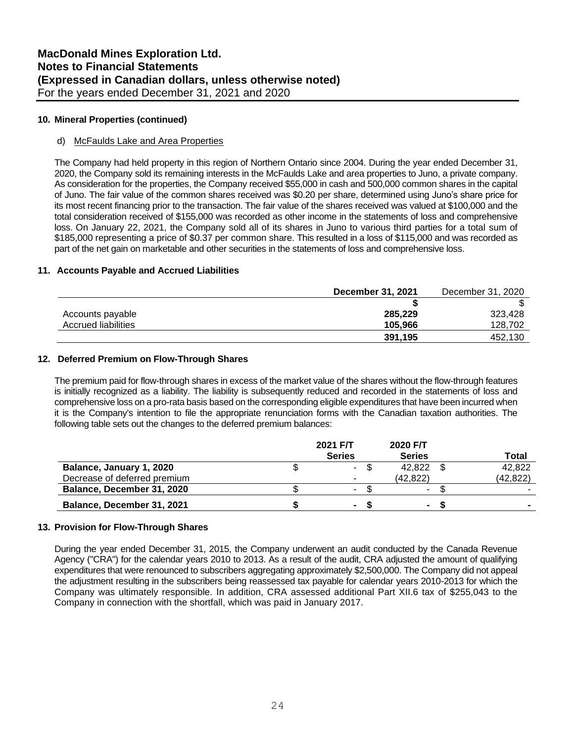### **10. Mineral Properties (continued)**

### d) McFaulds Lake and Area Properties

The Company had held property in this region of Northern Ontario since 2004. During the year ended December 31, 2020, the Company sold its remaining interests in the McFaulds Lake and area properties to Juno, a private company. As consideration for the properties, the Company received \$55,000 in cash and 500,000 common shares in the capital of Juno. The fair value of the common shares received was \$0.20 per share, determined using Juno's share price for its most recent financing prior to the transaction. The fair value of the shares received was valued at \$100,000 and the total consideration received of \$155,000 was recorded as other income in the statements of loss and comprehensive loss. On January 22, 2021, the Company sold all of its shares in Juno to various third parties for a total sum of \$185,000 representing a price of \$0.37 per common share. This resulted in a loss of \$115,000 and was recorded as part of the net gain on marketable and other securities in the statements of loss and comprehensive loss.

#### **11. Accounts Payable and Accrued Liabilities**

|                     | <b>December 31, 2021</b> | December 31, 2020 |
|---------------------|--------------------------|-------------------|
|                     |                          |                   |
| Accounts payable    | 285.229                  | 323.428           |
| Accrued liabilities | 105.966                  | 128,702           |
|                     | 391,195                  | 452,130           |

#### **12. Deferred Premium on Flow-Through Shares**

The premium paid for flow-through shares in excess of the market value of the shares without the flow-through features is initially recognized as a liability. The liability is subsequently reduced and recorded in the statements of loss and comprehensive loss on a pro-rata basis based on the corresponding eligible expenditures that have been incurred when it is the Company's intention to file the appropriate renunciation forms with the Canadian taxation authorities. The following table sets out the changes to the deferred premium balances:

|                              | 2021 F/T                 | 2020 F/T      |           |
|------------------------------|--------------------------|---------------|-----------|
|                              | <b>Series</b>            | <b>Series</b> | Total     |
| Balance, January 1, 2020     | $\overline{\phantom{a}}$ | 42.822        | 42,822    |
| Decrease of deferred premium | ۰                        | (42, 822)     | (42, 822) |
| Balance, December 31, 2020   | $\blacksquare$           |               |           |
| Balance, December 31, 2021   | $\blacksquare$           |               |           |

#### **13. Provision for Flow-Through Shares**

During the year ended December 31, 2015, the Company underwent an audit conducted by the Canada Revenue Agency ("CRA") for the calendar years 2010 to 2013. As a result of the audit, CRA adjusted the amount of qualifying expenditures that were renounced to subscribers aggregating approximately \$2,500,000. The Company did not appeal the adjustment resulting in the subscribers being reassessed tax payable for calendar years 2010-2013 for which the Company was ultimately responsible. In addition, CRA assessed additional Part XII.6 tax of \$255,043 to the Company in connection with the shortfall, which was paid in January 2017.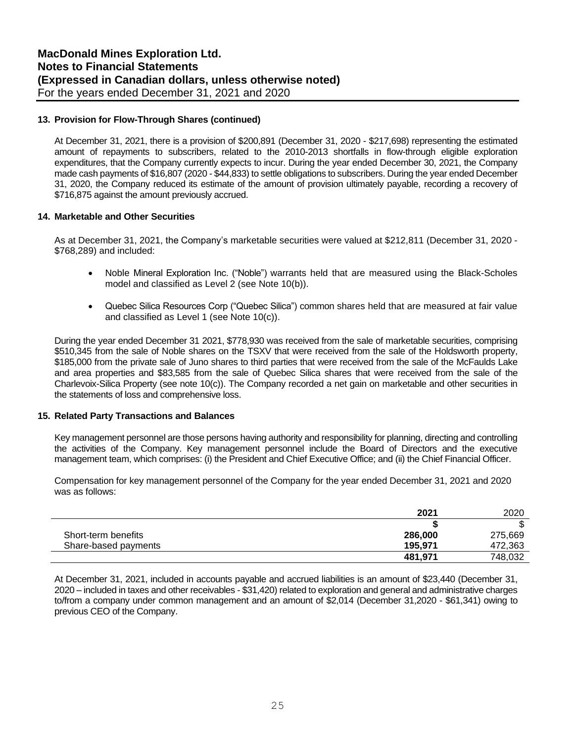# **13. Provision for Flow-Through Shares (continued)**

At December 31, 2021, there is a provision of \$200,891 (December 31, 2020 - \$217,698) representing the estimated amount of repayments to subscribers, related to the 2010-2013 shortfalls in flow-through eligible exploration expenditures, that the Company currently expects to incur. During the year ended December 30, 2021, the Company made cash payments of \$16,807 (2020 - \$44,833) to settle obligations to subscribers. During the year ended December 31, 2020, the Company reduced its estimate of the amount of provision ultimately payable, recording a recovery of \$716,875 against the amount previously accrued.

# **14. Marketable and Other Securities**

As at December 31, 2021, the Company's marketable securities were valued at \$212,811 (December 31, 2020 - \$768,289) and included:

- Noble Mineral Exploration Inc. ("Noble") warrants held that are measured using the Black-Scholes model and classified as Level 2 (see Note 10(b)).
- Quebec Silica Resources Corp ("Quebec Silica") common shares held that are measured at fair value and classified as Level 1 (see Note 10(c)).

During the year ended December 31 2021, \$778,930 was received from the sale of marketable securities, comprising \$510,345 from the sale of Noble shares on the TSXV that were received from the sale of the Holdsworth property, \$185,000 from the private sale of Juno shares to third parties that were received from the sale of the McFaulds Lake and area properties and \$83,585 from the sale of Quebec Silica shares that were received from the sale of the Charlevoix-Silica Property (see note 10(c)). The Company recorded a net gain on marketable and other securities in the statements of loss and comprehensive loss.

#### **15. Related Party Transactions and Balances**

Key management personnel are those persons having authority and responsibility for planning, directing and controlling the activities of the Company. Key management personnel include the Board of Directors and the executive management team, which comprises: (i) the President and Chief Executive Office; and (ii) the Chief Financial Officer.

Compensation for key management personnel of the Company for the year ended December 31, 2021 and 2020 was as follows:

|                      | 2021    | 2020    |
|----------------------|---------|---------|
|                      |         |         |
| Short-term benefits  | 286,000 | 275,669 |
| Share-based payments | 195,971 | 472,363 |
|                      | 481.971 | 748,032 |

At December 31, 2021, included in accounts payable and accrued liabilities is an amount of \$23,440 (December 31, 2020 – included in taxes and other receivables - \$31,420) related to exploration and general and administrative charges to/from a company under common management and an amount of \$2,014 (December 31,2020 - \$61,341) owing to previous CEO of the Company.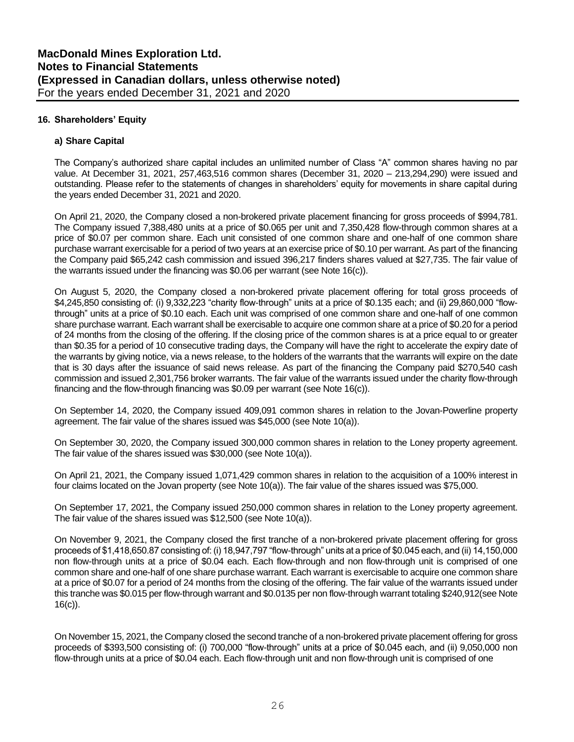# **16. Shareholders' Equity**

# **a) Share Capital**

The Company's authorized share capital includes an unlimited number of Class "A" common shares having no par value. At December 31, 2021, 257,463,516 common shares (December 31, 2020 – 213,294,290) were issued and outstanding. Please refer to the statements of changes in shareholders' equity for movements in share capital during the years ended December 31, 2021 and 2020.

On April 21, 2020, the Company closed a non-brokered private placement financing for gross proceeds of \$994,781. The Company issued 7,388,480 units at a price of \$0.065 per unit and 7,350,428 flow-through common shares at a price of \$0.07 per common share. Each unit consisted of one common share and one-half of one common share purchase warrant exercisable for a period of two years at an exercise price of \$0.10 per warrant. As part of the financing the Company paid \$65,242 cash commission and issued 396,217 finders shares valued at \$27,735. The fair value of the warrants issued under the financing was \$0.06 per warrant (see Note 16(c)).

On August 5, 2020, the Company closed a non-brokered private placement offering for total gross proceeds of \$4,245,850 consisting of: (i) 9,332,223 "charity flow-through" units at a price of \$0.135 each; and (ii) 29,860,000 "flowthrough" units at a price of \$0.10 each. Each unit was comprised of one common share and one-half of one common share purchase warrant. Each warrant shall be exercisable to acquire one common share at a price of \$0.20 for a period of 24 months from the closing of the offering. If the closing price of the common shares is at a price equal to or greater than \$0.35 for a period of 10 consecutive trading days, the Company will have the right to accelerate the expiry date of the warrants by giving notice, via a news release, to the holders of the warrants that the warrants will expire on the date that is 30 days after the issuance of said news release. As part of the financing the Company paid \$270,540 cash commission and issued 2,301,756 broker warrants. The fair value of the warrants issued under the charity flow-through financing and the flow-through financing was \$0.09 per warrant (see Note 16(c)).

On September 14, 2020, the Company issued 409,091 common shares in relation to the Jovan-Powerline property agreement. The fair value of the shares issued was \$45,000 (see Note 10(a)).

On September 30, 2020, the Company issued 300,000 common shares in relation to the Loney property agreement. The fair value of the shares issued was \$30,000 (see Note 10(a)).

On April 21, 2021, the Company issued 1,071,429 common shares in relation to the acquisition of a 100% interest in four claims located on the Jovan property (see Note 10(a)). The fair value of the shares issued was \$75,000.

On September 17, 2021, the Company issued 250,000 common shares in relation to the Loney property agreement. The fair value of the shares issued was \$12,500 (see Note 10(a)).

On November 9, 2021, the Company closed the first tranche of a non-brokered private placement offering for gross proceeds of \$1,418,650.87 consisting of: (i) 18,947,797 "flow-through" units at a price of \$0.045 each, and (ii) 14,150,000 non flow-through units at a price of \$0.04 each. Each flow-through and non flow-through unit is comprised of one common share and one-half of one share purchase warrant. Each warrant is exercisable to acquire one common share at a price of \$0.07 for a period of 24 months from the closing of the offering. The fair value of the warrants issued under this tranche was \$0.015 per flow-through warrant and \$0.0135 per non flow-through warrant totaling \$240,912(see Note 16(c)).

On November 15, 2021, the Company closed the second tranche of a non-brokered private placement offering for gross proceeds of \$393,500 consisting of: (i) 700,000 "flow-through" units at a price of \$0.045 each, and (ii) 9,050,000 non flow-through units at a price of \$0.04 each. Each flow-through unit and non flow-through unit is comprised of one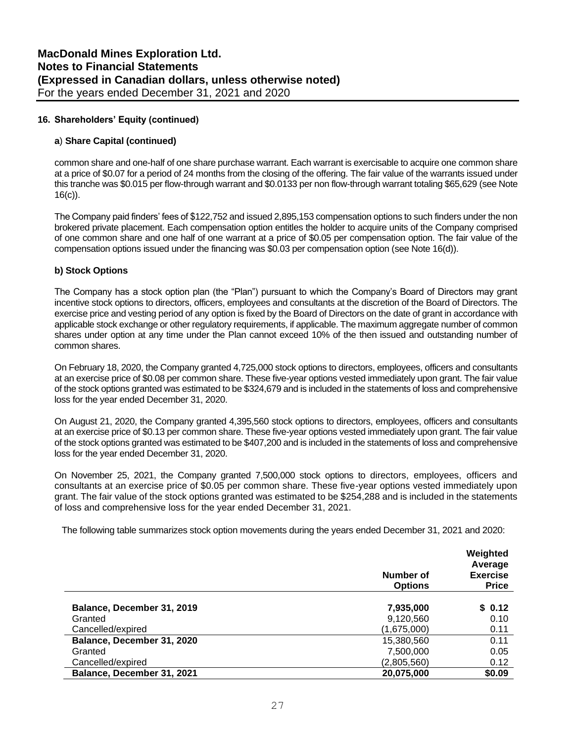### **16. Shareholders' Equity (continued)**

### **a**) **Share Capital (continued)**

common share and one-half of one share purchase warrant. Each warrant is exercisable to acquire one common share at a price of \$0.07 for a period of 24 months from the closing of the offering. The fair value of the warrants issued under this tranche was \$0.015 per flow-through warrant and \$0.0133 per non flow-through warrant totaling \$65,629 (see Note 16(c)).

The Company paid finders' fees of \$122,752 and issued 2,895,153 compensation options to such finders under the non brokered private placement. Each compensation option entitles the holder to acquire units of the Company comprised of one common share and one half of one warrant at a price of \$0.05 per compensation option. The fair value of the compensation options issued under the financing was \$0.03 per compensation option (see Note 16(d)).

# **b) Stock Options**

The Company has a stock option plan (the "Plan") pursuant to which the Company's Board of Directors may grant incentive stock options to directors, officers, employees and consultants at the discretion of the Board of Directors. The exercise price and vesting period of any option is fixed by the Board of Directors on the date of grant in accordance with applicable stock exchange or other regulatory requirements, if applicable. The maximum aggregate number of common shares under option at any time under the Plan cannot exceed 10% of the then issued and outstanding number of common shares.

On February 18, 2020, the Company granted 4,725,000 stock options to directors, employees, officers and consultants at an exercise price of \$0.08 per common share. These five-year options vested immediately upon grant. The fair value of the stock options granted was estimated to be \$324,679 and is included in the statements of loss and comprehensive loss for the year ended December 31, 2020.

On August 21, 2020, the Company granted 4,395,560 stock options to directors, employees, officers and consultants at an exercise price of \$0.13 per common share. These five-year options vested immediately upon grant. The fair value of the stock options granted was estimated to be \$407,200 and is included in the statements of loss and comprehensive loss for the year ended December 31, 2020.

On November 25, 2021, the Company granted 7,500,000 stock options to directors, employees, officers and consultants at an exercise price of \$0.05 per common share. These five-year options vested immediately upon grant. The fair value of the stock options granted was estimated to be \$254,288 and is included in the statements of loss and comprehensive loss for the year ended December 31, 2021.

The following table summarizes stock option movements during the years ended December 31, 2021 and 2020:

|                            |                             | Weighted<br>Average             |
|----------------------------|-----------------------------|---------------------------------|
|                            | Number of<br><b>Options</b> | <b>Exercise</b><br><b>Price</b> |
|                            |                             |                                 |
| Balance, December 31, 2019 | 7,935,000                   | \$ 0.12                         |
| Granted                    | 9,120,560                   | 0.10                            |
| Cancelled/expired          | (1,675,000)                 | 0.11                            |
| Balance, December 31, 2020 | 15,380,560                  | 0.11                            |
| Granted                    | 7,500,000                   | 0.05                            |
| Cancelled/expired          | (2,805,560)                 | 0.12                            |
| Balance, December 31, 2021 | 20,075,000                  | \$0.09                          |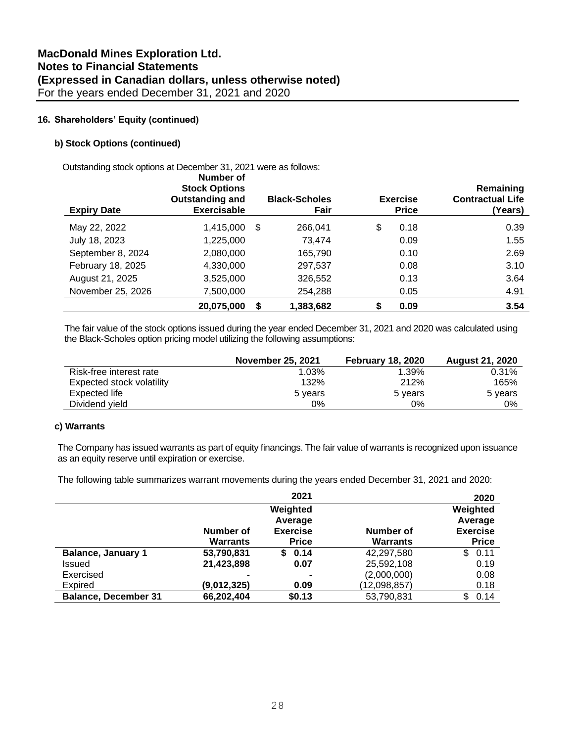### **16. Shareholders' Equity (continued)**

#### **b) Stock Options (continued)**

Outstanding stock options at December 31, 2021 were as follows:

| <b>Expiry Date</b> | Number of<br><b>Stock Options</b><br><b>Outstanding and</b><br><b>Exercisable</b> | <b>Black-Scholes</b><br>Fair |    | <b>Exercise</b><br><b>Price</b> | Remaining<br><b>Contractual Life</b><br>(Years) |
|--------------------|-----------------------------------------------------------------------------------|------------------------------|----|---------------------------------|-------------------------------------------------|
| May 22, 2022       | 1,415,000                                                                         | \$<br>266,041                | \$ | 0.18                            | 0.39                                            |
| July 18, 2023      | 1,225,000                                                                         | 73.474                       |    | 0.09                            | 1.55                                            |
| September 8, 2024  | 2,080,000                                                                         | 165,790                      |    | 0.10                            | 2.69                                            |
| February 18, 2025  | 4,330,000                                                                         | 297,537                      |    | 0.08                            | 3.10                                            |
| August 21, 2025    | 3,525,000                                                                         | 326,552                      |    | 0.13                            | 3.64                                            |
| November 25, 2026  | 7,500,000                                                                         | 254,288                      |    | 0.05                            | 4.91                                            |
|                    | 20,075,000                                                                        | 1,383,682                    | S  | 0.09                            | 3.54                                            |

The fair value of the stock options issued during the year ended December 31, 2021 and 2020 was calculated using the Black-Scholes option pricing model utilizing the following assumptions:

|                           | <b>November 25, 2021</b> | <b>February 18, 2020</b> | <b>August 21, 2020</b> |
|---------------------------|--------------------------|--------------------------|------------------------|
| Risk-free interest rate   | 1.03%                    | 1.39%                    | 0.31%                  |
| Expected stock volatility | 132%                     | 212%                     | 165%                   |
| Expected life             | 5 years                  | 5 years                  | 5 years                |
| Dividend yield            | 0%                       | 0%                       | 0%                     |

#### **c) Warrants**

The Company has issued warrants as part of equity financings. The fair value of warrants is recognized upon issuance as an equity reserve until expiration or exercise.

The following table summarizes warrant movements during the years ended December 31, 2021 and 2020:

|                             |                 | 2021            |                 | 2020            |
|-----------------------------|-----------------|-----------------|-----------------|-----------------|
|                             |                 | Weighted        |                 | Weighted        |
|                             |                 | Average         |                 | Average         |
|                             | Number of       | <b>Exercise</b> | Number of       | <b>Exercise</b> |
|                             | <b>Warrants</b> | <b>Price</b>    | <b>Warrants</b> | <b>Price</b>    |
| <b>Balance, January 1</b>   | 53,790,831      | 0.14<br>S       | 42,297,580      | 0.11<br>\$.     |
| Issued                      | 21,423,898      | 0.07            | 25,592,108      | 0.19            |
| Exercised                   |                 |                 | (2,000,000)     | 0.08            |
| Expired                     | (9,012,325)     | 0.09            | (12,098,857)    | 0.18            |
| <b>Balance, December 31</b> | 66,202,404      | \$0.13          | 53,790,831      | 0.14<br>S       |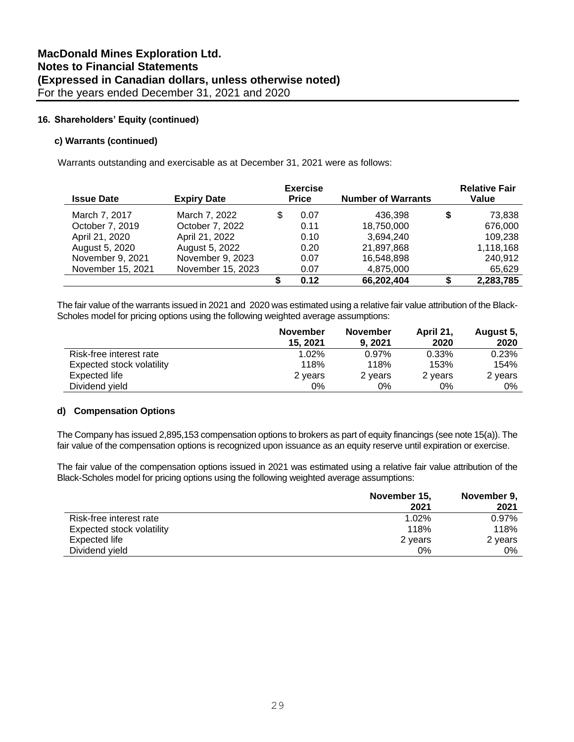### **16. Shareholders' Equity (continued)**

#### **c) Warrants (continued)**

Warrants outstanding and exercisable as at December 31, 2021 were as follows:

| <b>Issue Date</b> | <b>Expiry Date</b> |   | <b>Exercise</b><br><b>Price</b> | <b>Number of Warrants</b> |   | <b>Relative Fair</b><br>Value |
|-------------------|--------------------|---|---------------------------------|---------------------------|---|-------------------------------|
| March 7, 2017     | March 7, 2022      | S | 0.07                            | 436.398                   |   | 73.838                        |
| October 7, 2019   | October 7, 2022    |   | 0.11                            | 18,750,000                |   | 676,000                       |
| April 21, 2020    | April 21, 2022     |   | 0.10                            | 3.694.240                 |   | 109.238                       |
| August 5, 2020    | August 5, 2022     |   | 0.20                            | 21.897.868                |   | 1,118,168                     |
| November 9, 2021  | November 9, 2023   |   | 0.07                            | 16,548,898                |   | 240,912                       |
| November 15, 2021 | November 15, 2023  |   | 0.07                            | 4,875,000                 |   | 65.629                        |
|                   |                    |   | 0.12                            | 66,202,404                | S | 2,283,785                     |

The fair value of the warrants issued in 2021 and 2020 was estimated using a relative fair value attribution of the Black-Scholes model for pricing options using the following weighted average assumptions:

|                           | <b>November</b><br>15.2021 | <b>November</b><br>9.2021 | April 21,<br>2020 | August 5,<br>2020 |
|---------------------------|----------------------------|---------------------------|-------------------|-------------------|
| Risk-free interest rate   | 1.02%                      | 0.97%                     | 0.33%             | 0.23%             |
| Expected stock volatility | 118%                       | 118%                      | 153%              | 154%              |
| Expected life             | 2 years                    | 2 years                   | 2 years           | 2 years           |
| Dividend yield            | 0%                         | 0%                        | 0%                | 0%                |

#### **d) Compensation Options**

The Company has issued 2,895,153 compensation options to brokers as part of equity financings (see note 15(a)). The fair value of the compensation options is recognized upon issuance as an equity reserve until expiration or exercise.

The fair value of the compensation options issued in 2021 was estimated using a relative fair value attribution of the Black-Scholes model for pricing options using the following weighted average assumptions:

|                           | November 15, | November 9, |
|---------------------------|--------------|-------------|
|                           | 2021         | 2021        |
| Risk-free interest rate   | 1.02%        | 0.97%       |
| Expected stock volatility | 118%         | 118%        |
| Expected life             | 2 years      | 2 years     |
| Dividend yield            | $0\%$        | 0%          |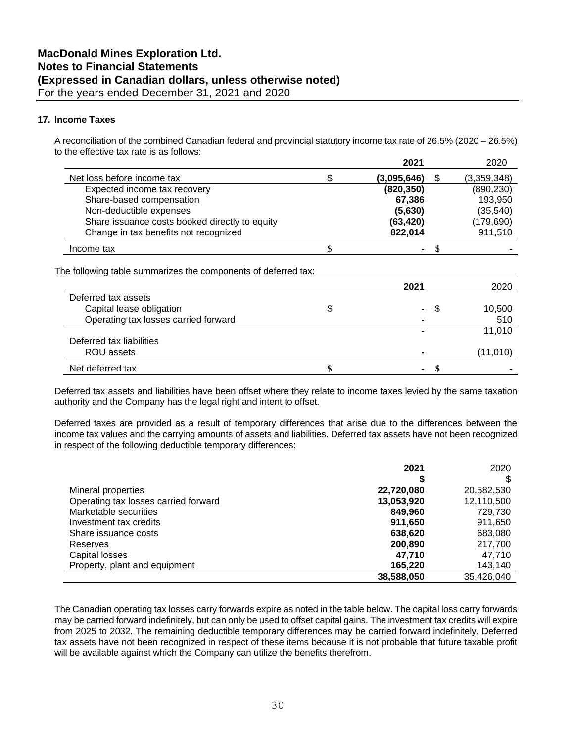# **17. Income Taxes**

A reconciliation of the combined Canadian federal and provincial statutory income tax rate of 26.5% (2020 – 26.5%) to the effective tax rate is as follows:

|                                                |    | 2021        | 2020        |
|------------------------------------------------|----|-------------|-------------|
| Net loss before income tax                     | S. | (3,095,646) | (3,359,348) |
| Expected income tax recovery                   |    | (820, 350)  | (890, 230)  |
| Share-based compensation                       |    | 67,386      | 193,950     |
| Non-deductible expenses                        |    | (5,630)     | (35, 540)   |
| Share issuance costs booked directly to equity |    | (63, 420)   | (179,690)   |
| Change in tax benefits not recognized          |    | 822,014     | 911,510     |
| Income tax                                     |    | ۰.          |             |
|                                                |    |             |             |

The following table summarizes the components of deferred tax:

|                                      |    | 2021                   | 2020      |
|--------------------------------------|----|------------------------|-----------|
| Deferred tax assets                  |    |                        |           |
| Capital lease obligation             | S  | - \$<br>$\blacksquare$ | 10,500    |
| Operating tax losses carried forward |    |                        | 510       |
|                                      |    |                        | 11,010    |
| Deferred tax liabilities             |    |                        |           |
| ROU assets                           |    |                        | (11, 010) |
| Net deferred tax                     | \$ |                        | -         |

Deferred tax assets and liabilities have been offset where they relate to income taxes levied by the same taxation authority and the Company has the legal right and intent to offset.

Deferred taxes are provided as a result of temporary differences that arise due to the differences between the income tax values and the carrying amounts of assets and liabilities. Deferred tax assets have not been recognized in respect of the following deductible temporary differences:

|                                      | 2021       | 2020       |
|--------------------------------------|------------|------------|
|                                      |            | S          |
| Mineral properties                   | 22,720,080 | 20,582,530 |
| Operating tax losses carried forward | 13,053,920 | 12,110,500 |
| Marketable securities                | 849.960    | 729,730    |
| Investment tax credits               | 911.650    | 911,650    |
| Share issuance costs                 | 638,620    | 683,080    |
| Reserves                             | 200.890    | 217,700    |
| Capital losses                       | 47.710     | 47,710     |
| Property, plant and equipment        | 165,220    | 143,140    |
|                                      | 38,588,050 | 35.426.040 |

The Canadian operating tax losses carry forwards expire as noted in the table below. The capital loss carry forwards may be carried forward indefinitely, but can only be used to offset capital gains. The investment tax credits will expire from 2025 to 2032. The remaining deductible temporary differences may be carried forward indefinitely. Deferred tax assets have not been recognized in respect of these items because it is not probable that future taxable profit will be available against which the Company can utilize the benefits therefrom.